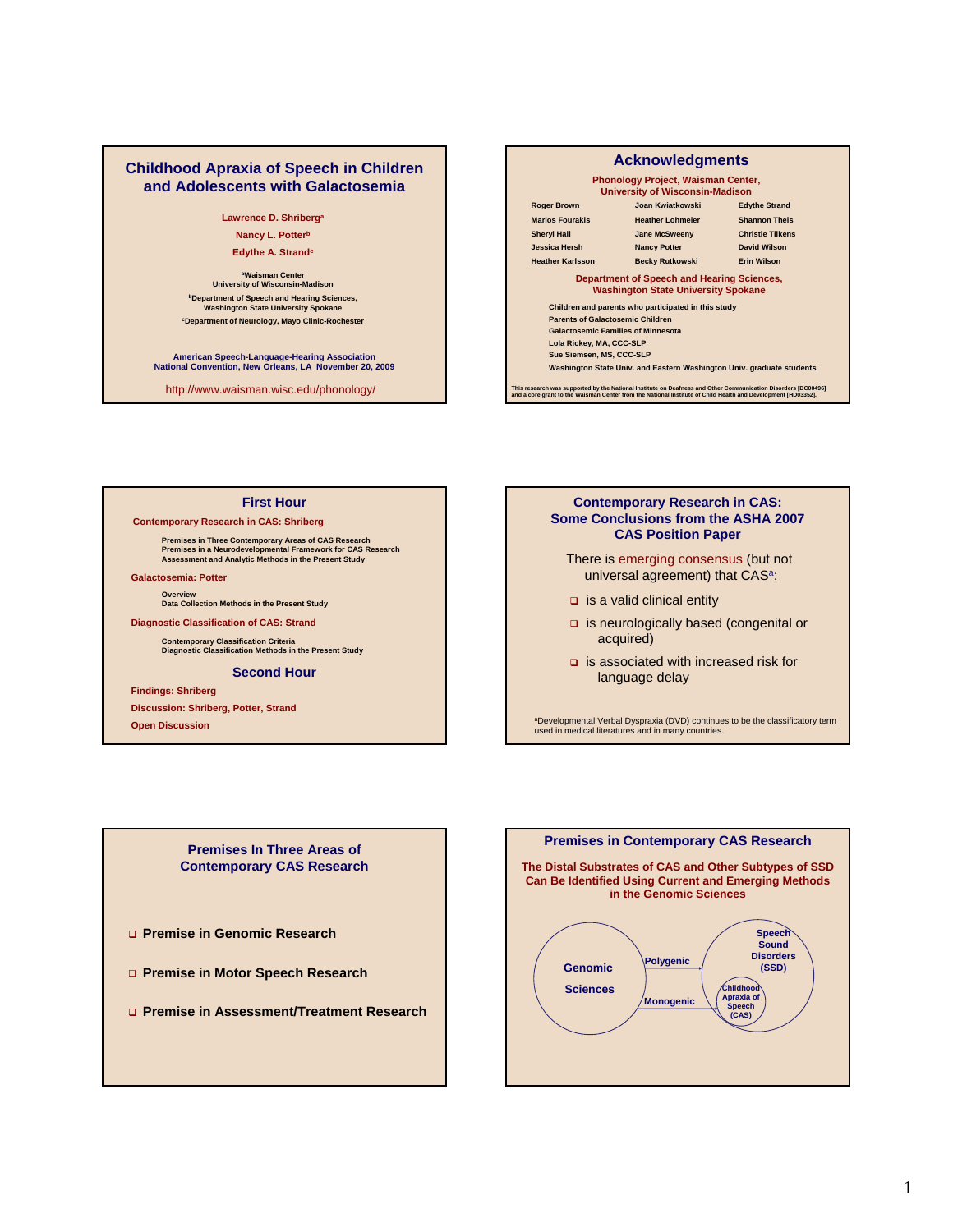### **Childhood Apraxia of Speech in Children and Adolescents with Galactosemia**

**Lawrence D. Shriberga Nancy L. Potterb Edythe A. Strandc** 

**aWaisman Center University of Wisconsin-Madison bDepartment of Speech and Hearing Sciences, Washington State University Spokane cDepartment of Neurology, Mayo Clinic-Rochester**

**American Speech-Language-Hearing Association National Convention, New Orleans, LA November 20, 2009**

http://www.waisman.wisc.edu/phonology/

### **Phonology Project, Waisman Center, University of Wisconsin-Madison Children and parents who participated in this study Parents of Galactosemic Children Galactosemic Families of Minnesota Lola Rickey, MA, CCC-SLP Sue Siemsen, MS, CCC-SLP Washington State Univ. and Eastern Washington Univ. graduate students Acknowledgments Roger Brown Joan Kwiatkowski Edythe Strand Marios Fourakis Heather Lohmeier Shannon Theis Sheryl Hall Jane McSweeny Christie Tilkens Jessica Hersh Nancy Potter David Wilson Heather Karlsson Becky Rutkowski Erin Wilson Department of Speech and Hearing Sciences, Washington State University Spokane** This research was supported by the National Institute on Deafness and Other Communication Disorders [DC00496]<br>and a core grant to the Waisman Center from the National Institute of Child Health and Development [HD03352].

### **First Hour**

#### **Contemporary Research in CAS: Shriberg**

**Premises in Three Contemporary Areas of CAS Research Premises in a Neurodevelopmental Framework for CAS Research Assessment and Analytic Methods in the Present Study**

#### **Galactosemia: Potter**

**Overview Data Collection Methods in the Present Study**

**Diagnostic Classification of CAS: Strand**

**Contemporary Classification Criteria Diagnostic Classification Methods in the Present Study**

#### **Second Hour**

### **Findings: Shriberg**

**Discussion: Shriberg, Potter, Strand**

**Open Discussion**

### **Contemporary Research in CAS: Some Conclusions from the ASHA 2007 CAS Position Paper**

There is emerging consensus (but not universal agreement) that CAS<sup>a</sup>:

- $\Box$  is a valid clinical entity
- is neurologically based (congenital or acquired)
- is associated with increased risk for language delay

aDevelopmental Verbal Dyspraxia (DVD) continues to be the classificatory term used in medical literatures and in many countries.

### **Premises In Three Areas of Contemporary CAS Research**

- **Premise in Genomic Research**
- **Premise in Motor Speech Research**
- **Premise in Assessment/Treatment Research**

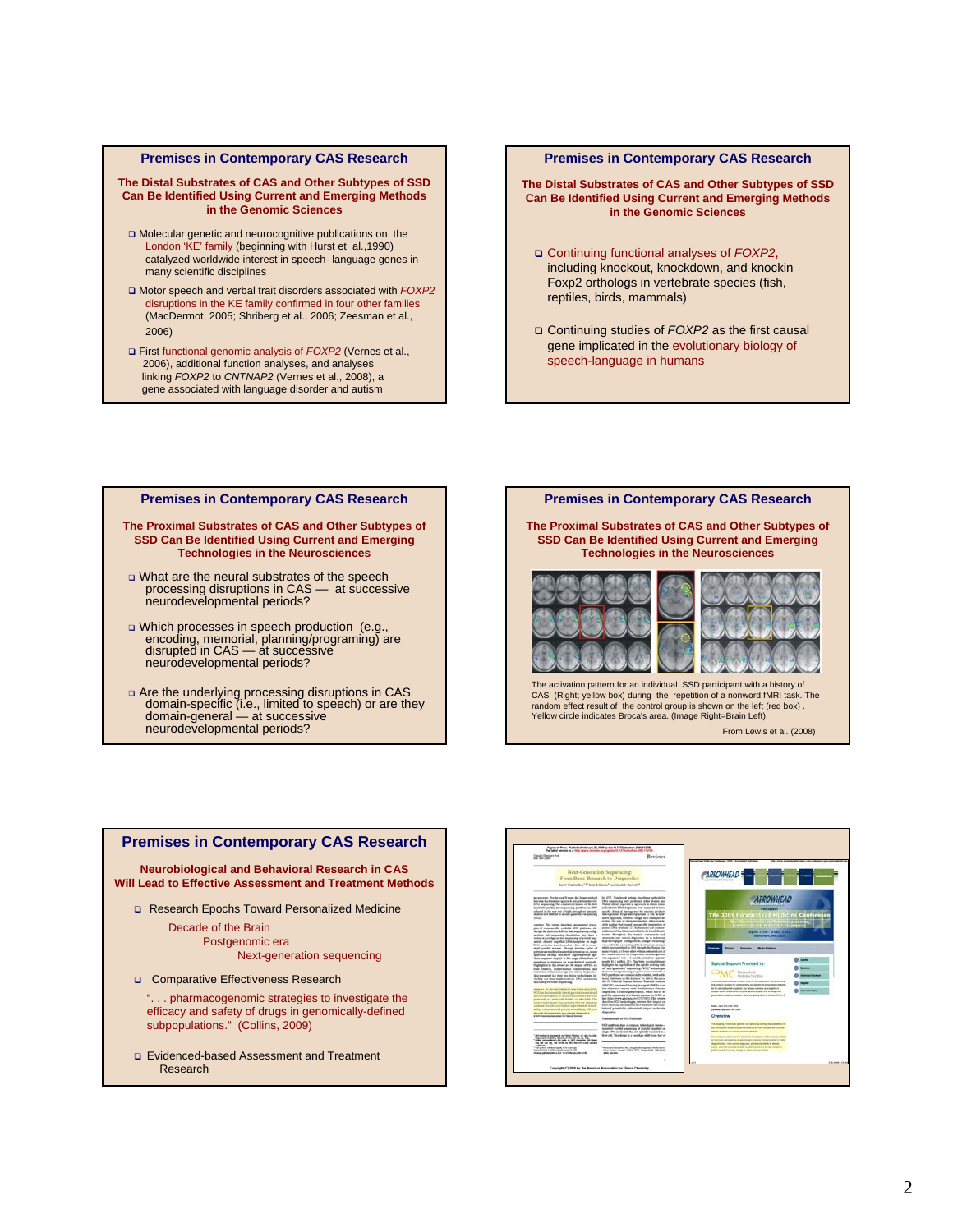#### **Premises in Contemporary CAS Research**

**The Distal Substrates of CAS and Other Subtypes of SSD Can Be Identified Using Current and Emerging Methods in the Genomic Sciences**

- Molecular genetic and neurocognitive publications on the London 'KE' family (beginning with Hurst et al.,1990) catalyzed worldwide interest in speech- language genes in many scientific disciplines
- Motor speech and verbal trait disorders associated with *FOXP2* disruptions in the KE family confirmed in four other families (MacDermot, 2005; Shriberg et al., 2006; Zeesman et al., 2006)
- First functional genomic analysis of *FOXP2* (Vernes et al., 2006), additional function analyses, and analyses linking *FOXP2* to *CNTNAP2* (Vernes et al., 2008), a gene associated with language disorder and autism

#### **Premises in Contemporary CAS Research**

**The Distal Substrates of CAS and Other Subtypes of SSD Can Be Identified Using Current and Emerging Methods in the Genomic Sciences**

- Continuing functional analyses of *FOXP2*, including knockout, knockdown, and knockin Foxp2 orthologs in vertebrate species (fish, reptiles, birds, mammals)
- Continuing studies of *FOXP2* as the first causal gene implicated in the evolutionary biology of speech-language in humans

### **Premises in Contemporary CAS Research**

#### **The Proximal Substrates of CAS and Other Subtypes of SSD Can Be Identified Using Current and Emerging Technologies in the Neurosciences**

- What are the neural substrates of the speech processing disruptions in CAS at successive neurodevelopmental periods?
- Which processes in speech production (e.g., encoding, memorial, planning/programing) are disrupted in CAS — at successive neurodevelopmental periods?
- Are the underlying processing disruptions in CAS domain-specific (i.e., limited to speech) or are they domain-general — at successive neurodevelopmental periods?

**The Proximal Substrates of CAS and Other Subtypes of SSD Can Be Identified Using Current and Emerging Technologies in the Neurosciences**

**Premises in Contemporary CAS Research**





activation pattern for an individual SSD participant with a history of CAS (Right; yellow box) during the repetition of a nonword fMRI task. The random effect result of the control group is shown on the left (red box) . Yellow circle indicates Broca's area. (Image Right=Brain Left)

From Lewis et al. (2008)

### Research Epochs Toward Personalized Medicine Decade of the Brain Postgenomic era Next-generation sequencing **Neurobiological and Behavioral Research in CAS Will Lead to Effective Assessment and Treatment Methods**

**Premises in Contemporary CAS Research**

- **Q** Comparative Effectiveness Research
	- ". . . pharmacogenomic strategies to investigate the efficacy and safety of drugs in genomically-defined subpopulations." (Collins, 2009)
- Evidenced-based Assessment and Treatment Research

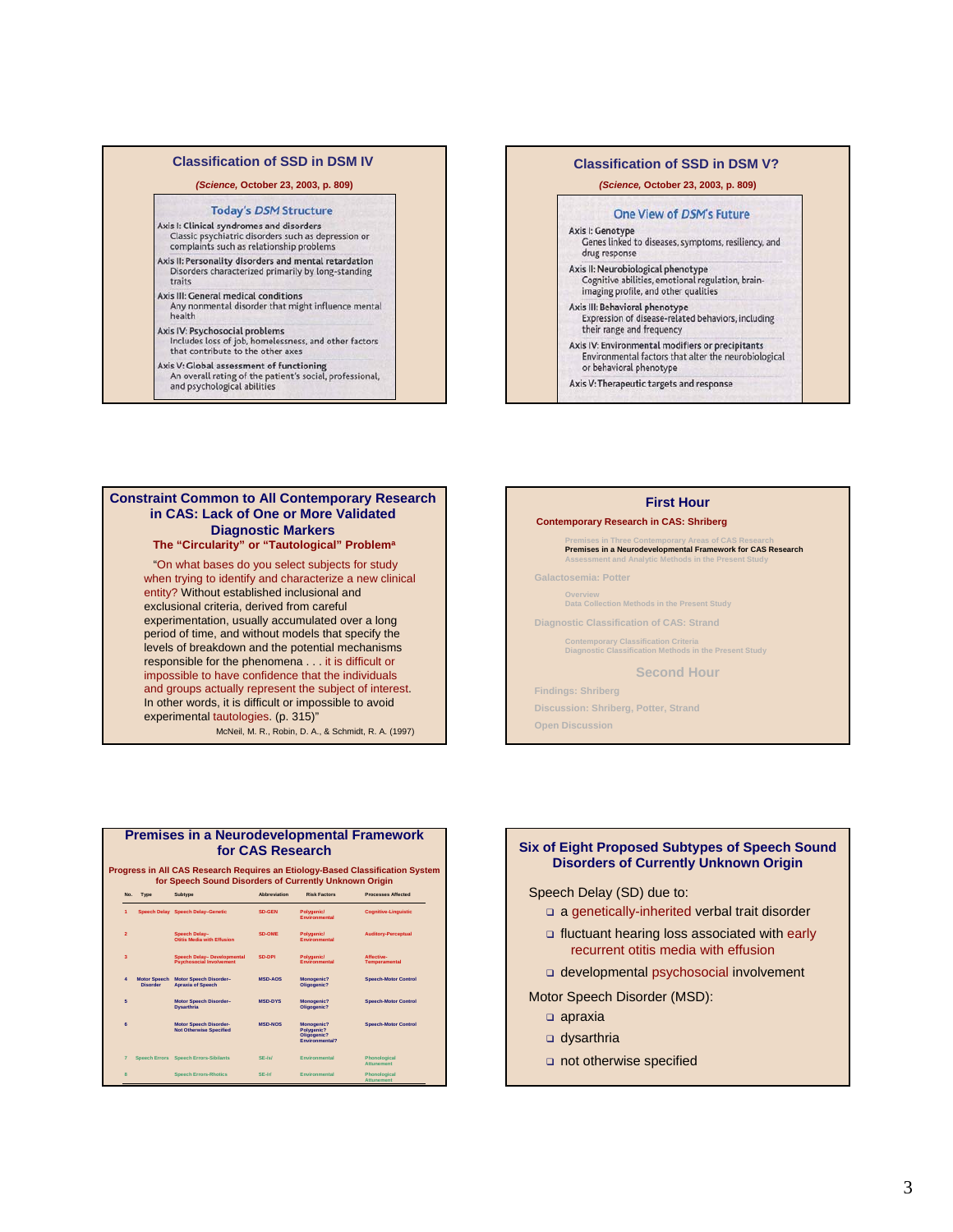### **Classification of SSD in DSM IV**

#### *(Science,* **October 23, 2003, p. 809)**

#### **Today's DSM Structure**

- Axis I: Clinical syndromes and disorders Classic psychiatric disorders such as depression or complaints such as relationship problems
- Axis II: Personality disorders and mental retardation Disorders characterized primarily by long-standing traits
- is III: General medical conditions<br>Any nonmental disorder that might influence mental<br>health Axis III: General medical conditions

### Axis IV: Psychosocial problems

- Includes loss of job, homelessness, and other factors that contribute to the other axes
- 
- Axis V: Global assessment of functioning<br>An overall rating of the patient's social, professional,<br>and psychological abilities

#### **Classification of SSD in DSM V?**

#### *(Science,* **October 23, 2003, p. 809)**

#### One View of DSM's Future

- Axis I: Genotype Genes linked to diseases, symptoms, resiliency, and drug response
- Axis II: Neurobiological phenotype<br>Cognitive abilities, emotional regulation, brainimaging profile, and other qualities
- Axis III: Behavioral phenotype<br>Expression of disease-related behaviors, including their range and frequency
- Axis IV: Environmental modifiers or precipitants Environmental factors that alter the neurobiological<br>or behavioral phenotype
- 
- Axis V: Therapeutic targets and response

### **Constraint Common to All Contemporary Research in CAS: Lack of One or More Validated Diagnostic Markers**

### **The "Circularity" or "Tautological" Problema**

"On what bases do you select subjects for study when trying to identify and characterize a new clinical entity? Without established inclusional and exclusional criteria, derived from careful experimentation, usually accumulated over a long period of time, and without models that specify the levels of breakdown and the potential mechanisms responsible for the phenomena . . . it is difficult or impossible to have confidence that the individuals and groups actually represent the subject of interest. In other words, it is difficult or impossible to avoid experimental tautologies. (p. 315)"

McNeil, M. R., Robin, D. A., & Schmidt, R. A. (1997)

#### **First Hour**

#### **Contemporary Research in CAS: Shriberg**

#### **Premises in Three Contemporary Areas of CAS Research Premises in a Neurodevelopmental Framework for CAS Research Assessment and Analytic Methods in the Present Study**

**Galactosemia: Potter**

**Overview Data Collection Methods in the Present Study**

**Diagnostic Classification of CAS: Strand**

**Contemporary Classification Criteria Diagnostic Classification Methods in the Present Study**

**Second Hour**

### **Findings: Shriberg**

**Discussion: Shriberg, Potter, Strand**

**Open Discussion**





developmental psychosocial involvement

- Motor Speech Disorder (MSD):
	- apraxia
	- dysarthria
	- not otherwise specified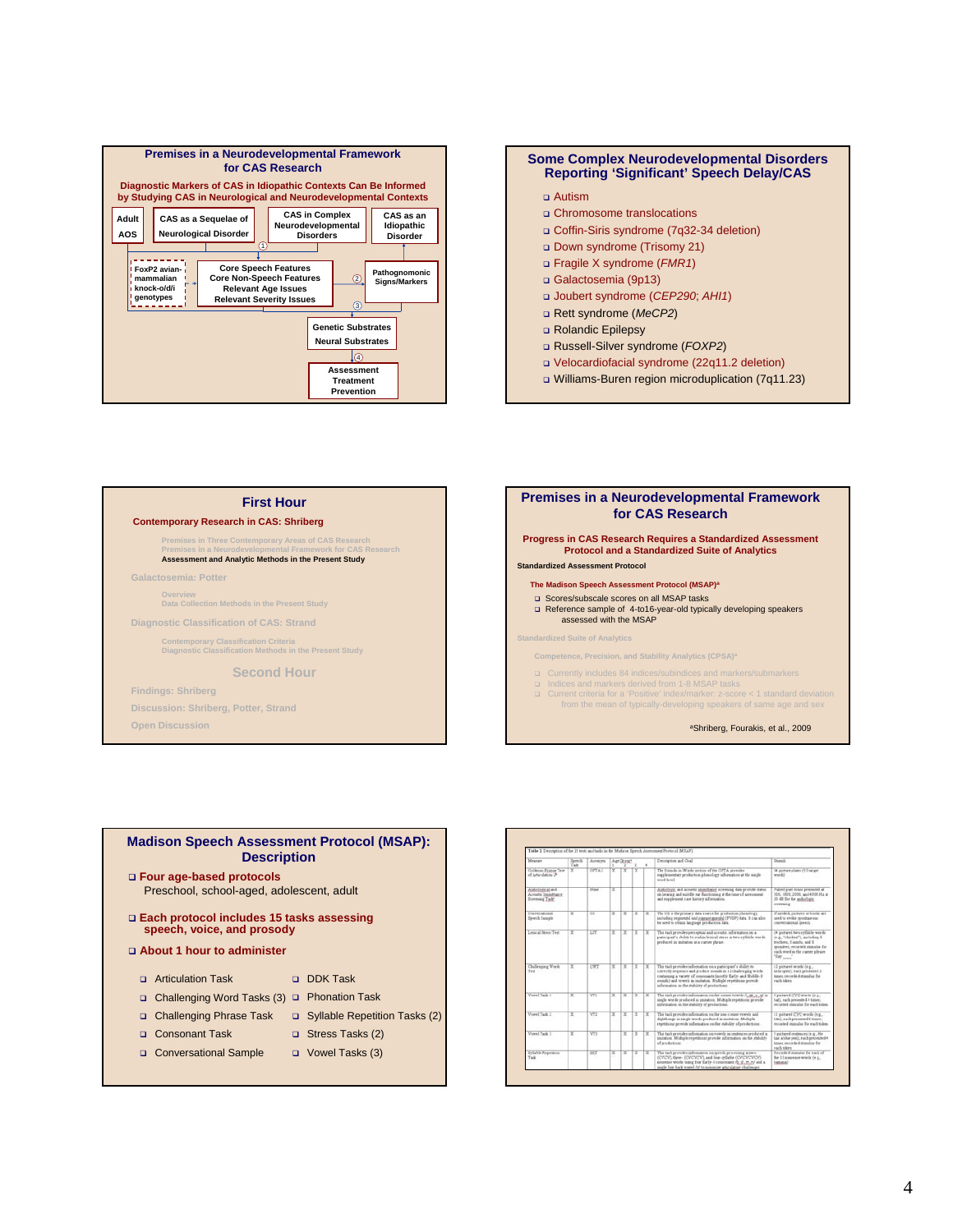

### **Some Complex Neurodevelopmental Disorders Reporting 'Significant' Speech Delay/CAS**

- Chromosome translocations
- Coffin-Siris syndrome (7q32-34 deletion)
- Down syndrome (Trisomy 21)
- Fragile X syndrome (*FMR1*)
- Galactosemia (9p13)
- Joubert syndrome (*CEP290*; *AHI1*)
- Rett syndrome (*MeCP2*)
- Rolandic Epilepsy
- Russell-Silver syndrome (*FOXP2*)
- Velocardiofacial syndrome (22q11.2 deletion)
- Williams-Buren region microduplication (7q11.23)

#### **First Hour**

#### **Contemporary Research in CAS: Shriberg**

**Premises in Three Contemporary Areas of CAS Research Premises in a Neurodevelopmental Framework for CAS Research Assessment and Analytic Methods in the Present Study**

**Galactosemia: Potter**

**Overview Data Collection Methods in the Present Study**

**Diagnostic Classification of CAS: Strand**

**Contemporary Classification Criteria Diagnostic Classification Methods in the Present Study**

#### **Second Hour**

**Findings: Shriberg**

**Discussion: Shriberg, Potter, Strand**

**Open Discussion**



### **Madison Speech Assessment Protocol (MSAP): Description**

- **Four age-based protocols** Preschool, school-aged, adolescent, adult
- **Each protocol includes 15 tasks assessing speech, voice, and prosody**
- **About 1 hour to administer**
	- DDK Task **D** Articulation Task
	- □ Challenging Word Tasks (3) □ Phonation Task
	- □ Challenging Phrase Task □ Syllable Repetition Tasks (2)

G Stress Tasks (2)

- Consonant Task
- Vowel Tasks (3) Conversational Sample

.<br>Harryton and Goa **Contact** inci The Sounds in Words section of the OPTA provides .<br>Higistum plans (53 turget diological sed<br>costu: Immetta<br>cosmo Taski presented at **PESASION** and them To containing a warmy of re-<br>munde) and vewels in im<br>information on the muhile in the conversement  $\hat{\tau}_m(\pmb{\pi}_m)$  , of in<br>ten. Multiple repetitions provide rdi (e.g. :<br>Il paturel CVC words (e.g.,<br>hitt), sach premated 4 times, This task provides information on the non-conner wowels and<br>fightbox.gs in single words produced in instance. Michigle .<br>This tack provides information on wowels as sentences produced in<br>instation. Multiple repetitions provide information on the stability 1 pictured contences (x.g., He<br>has a blue pes), each presented This task provides information on speech processing in two (CVCV), there  $\gamma$  (CVCV), and from opticals  $\mathcal{H}_0(\mathcal{F},\mathcal{O})$ , and from optical  $\mathcal{H}_0(\mathcal{F},\mathcal{O})$ , and from the contrast with the property of the functio tsken<br>rded stamslus for each of<br>I nonzenze words (e.g.,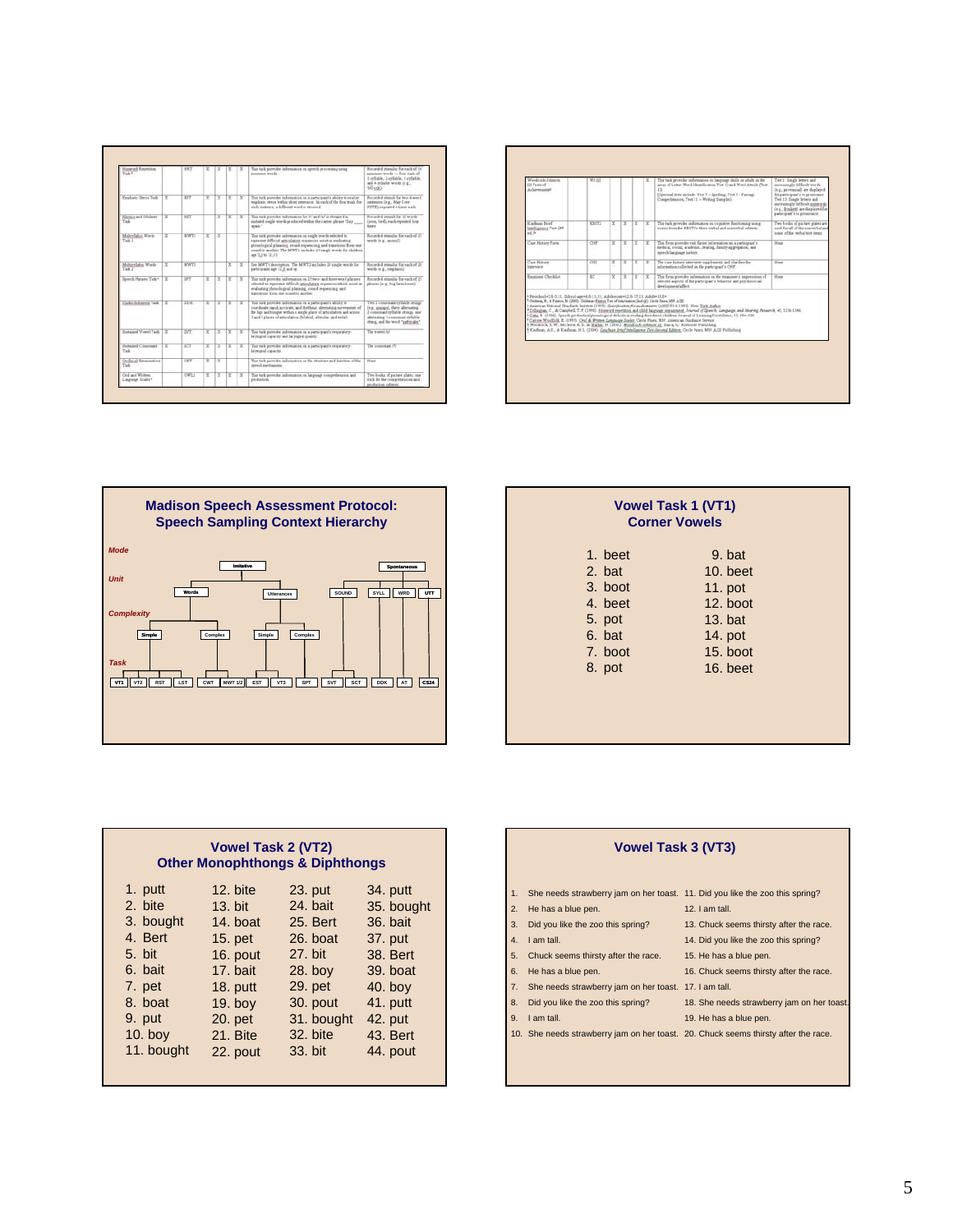| served Repetition<br>244                    |     | NET         | x | ×  | $\overline{\phantom{a}}$ | × | The tack provides information on speech processing using<br>nonemoe words                                                                                                                                                                                                              | Recorded massler for each of 18<br>noncente words -- four each of<br>1-reliable, 2-reliable, 3-reliable,<br>and 4-reliable words (e.g.,<br>1elvok)                                |
|---------------------------------------------|-----|-------------|---|----|--------------------------|---|----------------------------------------------------------------------------------------------------------------------------------------------------------------------------------------------------------------------------------------------------------------------------------------|-----------------------------------------------------------------------------------------------------------------------------------------------------------------------------------|
| Excelsive Dress Tack                        | x   | E           | × | Ŧ  | x                        | × | The task prevides information on a participant's ability to realize<br>mushatic stress within short systemes. In each of the financials for<br>each restears, a different word is stressed.                                                                                            | Recorded massis for two 4-weed<br>centences (n.g., May I see<br>PETE), repeated 4 times each                                                                                      |
| <b>Rhetics and SA Guida</b><br>55           | ¥   | T2T         |   | ч  | ×                        | v | That task provides information for N' and /b/ ir obtained in<br>instated rough words produced within the carrier planae."Say<br>sexis."                                                                                                                                                | Recorded month for 11 works<br>(2006, hird), each repeated from<br>Saver                                                                                                          |
| Materfalse Words<br>Task I                  | v   | <b>MWTT</b> | y | t۷ |                          |   | The tack provider advenance an uncle worth relected to<br>represent difficult articulatory requestes seniet in realisating<br>phonological planning, synad requescing, and transitions from one<br>must to another. The MWT1 includes 25 raugh words for children.<br>age 3.0 to 11:11 | Revealed massles for each of 25.<br>work (e.g., search)                                                                                                                           |
| Maherlate Wash<br>Task 2                    | У   | <b>MWTT</b> |   |    | х                        | x | Ine MWT) decoration. The MWTJ achieve 22 mode words for<br>participants ago 12.2 and up.                                                                                                                                                                                               | Recorded massive for each of 20<br>words in g., emphasis).                                                                                                                        |
| Speech Phraser Task+                        | ¥   | ਸਾ          | x | э  | ¥                        | x | This task provides information on 25 two- and three-word phrases<br>relevied to represent difficult articulatory requesters which assist in<br>evaluating phenological planning, round requesting, and<br>transitions from one small to another                                        | Recorded member for each of 25<br>phrumo (e.g., big farm house)                                                                                                                   |
| <b>Chadie hekiness Task</b>                 |     | Title       | ¥ | œ  | x                        | ¥ | This task provides information on a participant's ability to<br>coordinate rapid, accords, and rhythmic alternating movements of<br>the link and traume within a moule place of articulation and account<br>I and I places of articulation (bilaboa), alrealar, and relat-             | Two 1-consensed reliable strongs<br>(e.g. pupine), three alternating<br>I-cannonist reliable monas, nor-<br>alternation 3 constraint vellable<br>drace, and the word "patternike" |
| Surtained Viewel Twik                       | х   | W           | У | э  | y                        | R | The tack previder adematics in a patterpart's responser-<br>beyond cancer and beyond maker.                                                                                                                                                                                            | The extent its                                                                                                                                                                    |
| Synapol Counsell<br>Talk                    | 'nχ | <b>ICT</b>  | ч | 7X | Υ                        | x | The task previder information on a participant's consentery-<br>larmand casacity.                                                                                                                                                                                                      | The conconage (4)                                                                                                                                                                 |
| <b>Certarial Exemination</b><br><b>Call</b> |     | OET         | Ŧ | ĪΞ |                          |   | The task prevides information on the straiture and financial of the<br>meeth methanism.                                                                                                                                                                                                | <b>History</b>                                                                                                                                                                    |
| Craft and Written<br>Language Scales*       |     | OWLE        | Ξ | ΓŦ | œ                        | x | The task provider information on language comprehencies and<br>production.                                                                                                                                                                                                             | Two books of partner plates, one<br>each for the comprehension and<br>production robberts.                                                                                        |

| Wendrack Johnson<br>III Tests of<br>Arkansonant E.                                                                                                                                               | WEIT            |   |    |    |    | The task prevides information on language skills in adults in the<br>areas of Letter-Word Identification Test 1) and Word Attack (Test .<br>135<br>[Optional tests au Jude: Test 7 - Spelling: Test F - Fussure<br>Comprehension, Trot 11 - Writing Sumples)                                                                                                                                                                                                                                                                                                                                                                                                                                                                                                                                                 | Test 1 Easpie letters and<br>increasingly difficult words<br>is a provincial are displayed<br>for participant's to prosonante.<br>Test 13. Double bettern and<br>increase gly difficult someonic<br>is g. fronkett as daplayed for<br>party is self a to envisionity. |
|--------------------------------------------------------------------------------------------------------------------------------------------------------------------------------------------------|-----------------|---|----|----|----|--------------------------------------------------------------------------------------------------------------------------------------------------------------------------------------------------------------------------------------------------------------------------------------------------------------------------------------------------------------------------------------------------------------------------------------------------------------------------------------------------------------------------------------------------------------------------------------------------------------------------------------------------------------------------------------------------------------------------------------------------------------------------------------------------------------|-----------------------------------------------------------------------------------------------------------------------------------------------------------------------------------------------------------------------------------------------------------------------|
| <b>Kashuan Board</b><br>latelligence Text (24)<br>ad39                                                                                                                                           | <b>KBITI</b>    | Y | ΓY | ١v | Y  | The task severiles information on country functioning some<br>states from the EDITZ's three works) and nonmorfed rules ma-                                                                                                                                                                                                                                                                                                                                                                                                                                                                                                                                                                                                                                                                                   | Two books of auctors aligns are<br>used for all of the nonverbal and<br>some of the perhal test items                                                                                                                                                                 |
| Case History Form                                                                                                                                                                                | CHF             | v | ×  | Γ¥ | Ŧ  | This form provides risk factor information on a participant's<br>medical, rocal, scalenge, bearing, family appropries, and<br>nossib-language history.                                                                                                                                                                                                                                                                                                                                                                                                                                                                                                                                                                                                                                                       | <b>Nines</b>                                                                                                                                                                                                                                                          |
| Case Huttery<br>Interview                                                                                                                                                                        | CHI             | x | Ŧ  | œ  | ≖  | The case history interview supplements and clierifies the<br>information collected on the participant's CHP.                                                                                                                                                                                                                                                                                                                                                                                                                                                                                                                                                                                                                                                                                                 | <b>Hind</b>                                                                                                                                                                                                                                                           |
| Equipment Charleline                                                                                                                                                                             | $\overline{10}$ | × | İΥ | ŤΨ | ГŸ | The firm provider information on the examiner's impressions of<br>stincted aspects of the participant's behavior and preclamental<br>development/affect.                                                                                                                                                                                                                                                                                                                                                                                                                                                                                                                                                                                                                                                     | <b>Hotel</b>                                                                                                                                                                                                                                                          |
| *Preschool=5:6-5.11; School-apt=8:6-11;11; Adolescent=12:6-17;11; Adult=18:8+<br><sup>4</sup> Ockham, R., & Faston, M. (2003). Ockham-Faston Tart of Astrologica (led et). Carla Passa, MM A/SI. |                 |   |    |    |    | * American Hatsmal Danske & Institute (1919). Devolvation for audiomoters (ANIII 83.4-1919). Here Yark Author.<br>*Dillaghan, C., & Campbell, T. F. (1993). Honorick repetition and child language impairment. Journal of Zpoach. Language, and Nearing Research. 41, 1116-1146.<br><sup>4</sup> Catt; H. (1950). Speech production/phonological deficits in reading door devel children, Jewnal of Learning Disabilities; 19; 554-528.<br><sup>4</sup> Cartow-Woolfolk, E. (1995). Ora(4). Writes Longuage Rosler. Cittle Pines, MH. Anterican Onidance Service.<br>4 Woodcock, R. W.; McGrew, E. S., & Mather, H. (2001). Finalcock-Johnson III. Banca, IL: Riemenike Publishing.<br><sup>5</sup> Kedney, A.T., & Kedney, H.L. (2000) Eaches Intelligence Dat-Second Miller, Orck Ford, MH. AGE Publishing |                                                                                                                                                                                                                                                                       |
|                                                                                                                                                                                                  |                 |   |    |    |    |                                                                                                                                                                                                                                                                                                                                                                                                                                                                                                                                                                                                                                                                                                                                                                                                              |                                                                                                                                                                                                                                                                       |



|         | <b>Vowel Task 1 (VT1)</b><br><b>Corner Vowels</b> |  |  |  |  |
|---------|---------------------------------------------------|--|--|--|--|
| 1. beet | 9. bat                                            |  |  |  |  |
| 2. bat  | $10.$ beet                                        |  |  |  |  |
| 3. boot | 11. pot                                           |  |  |  |  |
| 4. beet | 12. boot                                          |  |  |  |  |
| 5. pot  | $13.$ bat                                         |  |  |  |  |
| 6. bat  | 14. pot                                           |  |  |  |  |
| 7. boot | 15. boot                                          |  |  |  |  |
| 8. pot  | $16.$ beet                                        |  |  |  |  |

| <b>Vowel Task 2 (VT2)</b><br><b>Other Monophthongs &amp; Diphthongs</b> |            |            |            |  |  |
|-------------------------------------------------------------------------|------------|------------|------------|--|--|
| 1. putt                                                                 | $12.$ bite | 23. put    | 34. putt   |  |  |
| 2. bite                                                                 | 13. bit    | 24. bait   | 35. bought |  |  |
| 3. bought                                                               | 14. hoat   | 25. Bert   | 36. bait   |  |  |
| 4. Bert                                                                 | $15.$ pet  | 26. boat   | 37. put    |  |  |
| 5. bit                                                                  | 16. pout   | 27. bit    | 38. Bert   |  |  |
| 6. bait                                                                 | 17. bait   | $28.$ boy  | $39.$ boat |  |  |
| 7. pet                                                                  | $18.$ putt | 29. pet    | $40.$ boy  |  |  |
| 8. boat                                                                 | $19.$ boy  | 30. pout   | 41. putt   |  |  |
| 9. put                                                                  | 20. pet    | 31. bought | 42. put    |  |  |
| $10.$ boy                                                               | 21. Bite   | 32. bite   | 43. Bert   |  |  |
| 11. bought                                                              | 22. pout   | 33. bit    | 44. pout   |  |  |

|    | <b>Vowel Task 3 (VT3)</b>                                                          |                                            |
|----|------------------------------------------------------------------------------------|--------------------------------------------|
| 1. | She needs strawberry jam on her toast. 11. Did you like the zoo this spring?       |                                            |
| 2. | He has a blue pen.                                                                 | 12. $I$ am tall.                           |
| 3. | Did you like the zoo this spring?                                                  | 13. Chuck seems thirsty after the race.    |
| 4. | I am tall.                                                                         | 14. Did you like the zoo this spring?      |
| 5. | Chuck seems thirsty after the race.                                                | 15. He has a blue pen.                     |
| 6. | He has a blue pen.                                                                 | 16. Chuck seems thirsty after the race.    |
| 7. | She needs strawberry jam on her toast. 17. I am tall.                              |                                            |
| 8. | Did you like the zoo this spring?                                                  | 18. She needs strawberry jam on her toast. |
| 9. | I am tall.                                                                         | 19. He has a blue pen.                     |
|    | 10. She needs strawberry jam on her toast. 20. Chuck seems thirsty after the race. |                                            |

 $4.$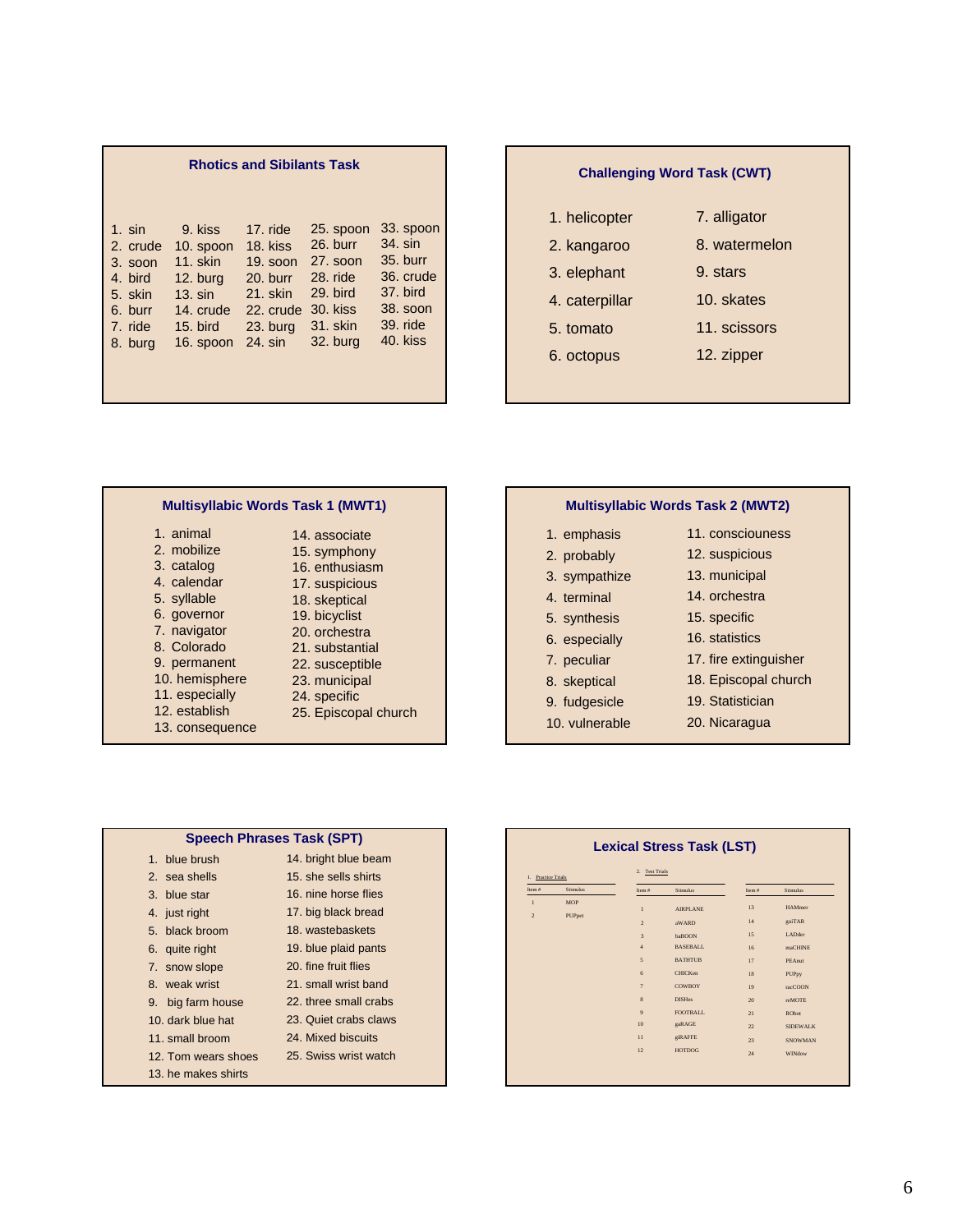|           |            | <b>Rhotics and Sibilants Task</b> |            |           |
|-----------|------------|-----------------------------------|------------|-----------|
| $1. \sin$ | 9. kiss    | 17. ride                          | 25. spoon  | 33. spoon |
| 2. crude  | 10. spoon  | 18. kiss                          | 26. burr   | 34. sin   |
| 3. soon   | $11.$ skin | $19.$ soon                        | 27. soon   | 35. burr  |
| 4. bird   | $12.$ burg | $20.$ burr                        | $28.$ ride | 36. crude |
| 5. skin   | $13. \sin$ | 21. skin                          | 29. bird   | 37. bird  |
| 6. burr   | 14. crude  | 22. crude                         | 30. kiss   | 38. soon  |
| 7. ride   | $15.$ bird | 23. burg                          | 31. skin   | 39. ride  |
| 8. burg   | 16. spoon  | 24. sin                           | 32. burg   | 40. kiss  |

|                | <b>Challenging Word Task (CWT)</b> |
|----------------|------------------------------------|
| 1. helicopter  | 7. alligator                       |
| 2. kangaroo    | 8. watermelon                      |
| 3. elephant    | 9. stars                           |
| 4. caterpillar | 10. skates                         |
| 5. tomato      | 11. scissors                       |
| 6. octopus     | 12. zipper                         |
|                |                                    |

### **Multisyllabic Words Task 1 (MWT1)**

| 1. animal       | 14. associate        |
|-----------------|----------------------|
| 2. mobilize     | 15. symphony         |
| 3. catalog      | 16. enthusiasm       |
| 4. calendar     | 17. suspicious       |
| 5. syllable     | 18. skeptical        |
| 6. governor     | 19. bicyclist        |
| 7. navigator    | 20. orchestra        |
| 8. Colorado     | 21. substantial      |
| 9. permanent    | 22. susceptible      |
| 10. hemisphere  | 23. municipal        |
| 11. especially  | 24. specific         |
| 12. establish   | 25. Episcopal church |
| 13. consequence |                      |

### **Multisyllabic Words Task 2 (MWT2)**

| 11. consciouness      |
|-----------------------|
| 12. suspicious        |
| 13. municipal         |
| 14. orchestra         |
| 15. specific          |
| 16. statistics        |
| 17. fire extinguisher |
| 18. Episcopal church  |
| 19. Statistician      |
| 20. Nicaragua         |
|                       |

| <b>Speech Phrases Task (SPT)</b> |                       |
|----------------------------------|-----------------------|
| 1. blue brush                    | 14. bright blue beam  |
| 2. sea shells                    | 15, she sells shirts  |
| 3. blue star                     | 16, nine horse flies  |
| 4. just right                    | 17. big black bread   |
| 5. black broom                   | 18. wastebaskets      |
| 6. quite right                   | 19. blue plaid pants  |
| 7. snow slope                    | 20. fine fruit flies  |
| 8 weak wrist                     | 21. small wrist band  |
| 9. big farm house                | 22. three small crabs |
| 10. dark blue hat                | 23. Quiet crabs claws |
| 11. small broom                  | 24. Mixed biscuits    |
| 12. Tom wears shoes              | 25. Swiss wrist watch |
| 13. he makes shirts              |                       |

| 1. Practice Trials   |                 | 2. Test Trials |                 |          |                 |
|----------------------|-----------------|----------------|-----------------|----------|-----------------|
| Item $\ddot{\theta}$ | <b>Stimulus</b> | Item $#$       | Stimulus        | Item $#$ | <b>Stimulus</b> |
| $\mathbf{1}$         | <b>MOP</b>      | $\mathbf{1}$   | <b>AIRPLANE</b> | 13       | <b>HAMmer</b>   |
| $\sqrt{2}$           | PUPpet          | $\overline{2}$ | aWARD           | 14       | guiTAR          |
|                      |                 | $\overline{3}$ | baBOON          | 15       | LADder          |
|                      |                 | $\overline{4}$ | <b>BASEBALL</b> | 16       | maCHINE         |
|                      |                 | 5              | <b>BATHTUB</b>  | 17       | PEAnut          |
|                      |                 | 6              | <b>CHICKen</b>  | 18       | PUPpy           |
|                      |                 | $\overline{7}$ | <b>COWBOY</b>   | 19       | racCOON         |
|                      |                 | 8              | <b>DISHes</b>   | 20       | reMOTE          |
|                      |                 | 9              | FOOTBALL.       | 21       | <b>RObot</b>    |
|                      |                 | 10             | gaRAGE          | 22       | <b>SIDEWALK</b> |
|                      |                 | 11             | giRAFFE         | 23       | <b>SNOWMAN</b>  |
|                      |                 | 12             | <b>HOTDOG</b>   | 24       | WINdow          |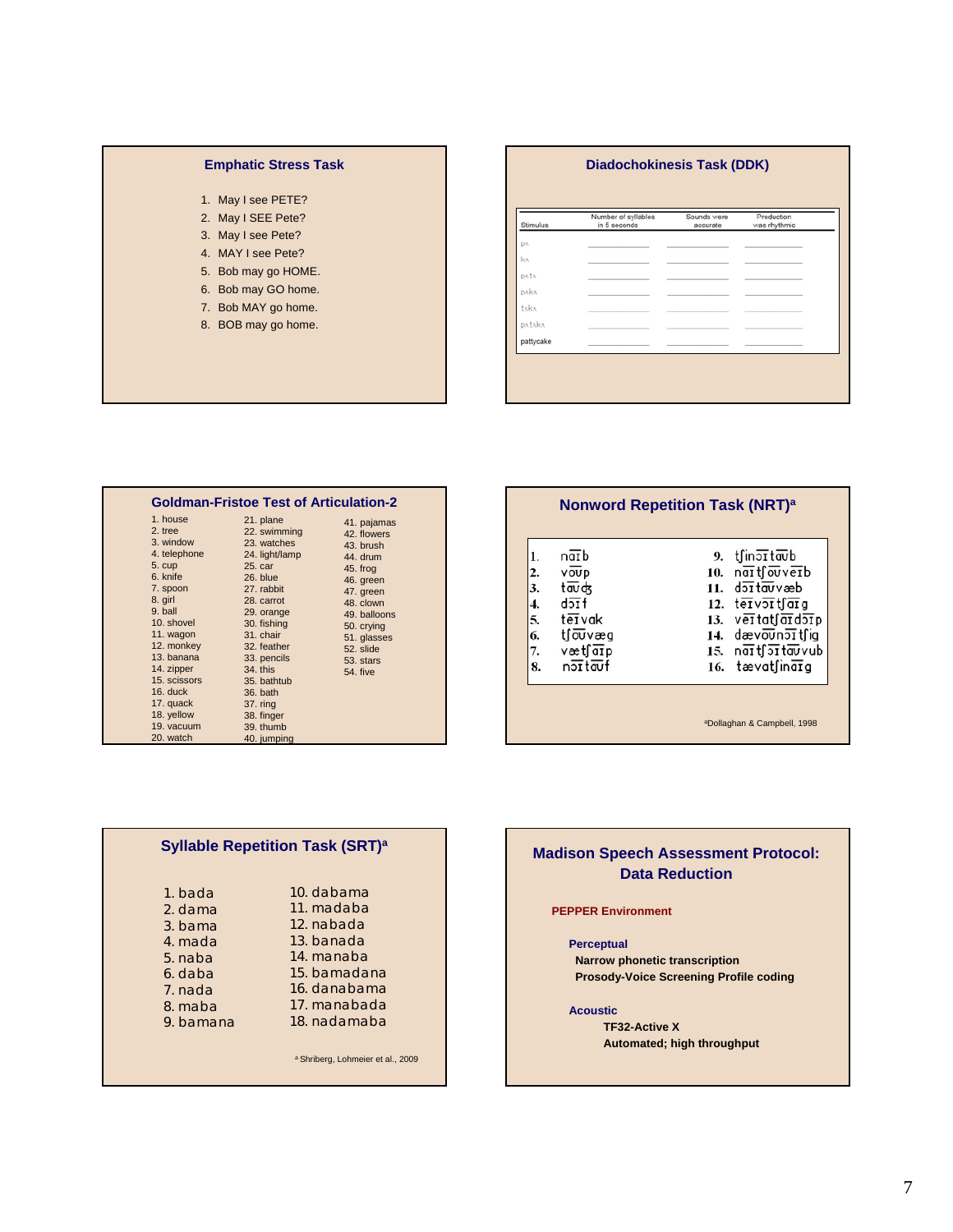### **Emphatic Stress Task**

- 1. May I see PETE?
- 2. May I SEE Pete?
- 3. May I see Pete?
- 4. MAY I see Pete?
- 5. Bob may go HOME.
- 6. Bob may GO home.
- 7. Bob MAY go home.
- 8. BOB may go home.

### **Diadochokinesis Task (DDK)**

| Stimulus   | Number of syllables<br>in 5 seconds | Sounds were<br>accurate | Production<br>was rhythmic |
|------------|-------------------------------------|-------------------------|----------------------------|
| DA         |                                     |                         |                            |
| $k \wedge$ |                                     |                         |                            |
| DAÍA       |                                     |                         |                            |
| DAKA       |                                     |                         |                            |
| taka       |                                     |                         |                            |
| DATAKA     |                                     |                         |                            |
| pattycake  |                                     |                         |                            |

| <b>Goldman-Fristoe Test of Articulation-2</b>                                                                                                                                                                                                                   |                                                                                                                                                                                                                                                                                    |                                                                                                                                                                                           |
|-----------------------------------------------------------------------------------------------------------------------------------------------------------------------------------------------------------------------------------------------------------------|------------------------------------------------------------------------------------------------------------------------------------------------------------------------------------------------------------------------------------------------------------------------------------|-------------------------------------------------------------------------------------------------------------------------------------------------------------------------------------------|
| 1. house<br>2. tree<br>3. window<br>4. telephone<br>5. cup<br>6. knife<br>7. spoon<br>8. girl<br>9. ball<br>10. shovel<br>11. wagon<br>12. monkey<br>13. banana<br>14. zipper<br>15. scissors<br>16. duck<br>17. quack<br>18. yellow<br>19. vacuum<br>20. watch | 21. plane<br>22. swimming<br>23. watches<br>24. light/lamp<br>25. car<br>26. blue<br>27. rabbit<br>28. carrot<br>29. orange<br>30. fishing<br>31. chair<br>32. feather<br>33. pencils<br>34. this<br>35. bathtub<br>36. bath<br>37. ring<br>38. finger<br>39. thumb<br>40. jumping | 41. pajamas<br>42. flowers<br>43. brush<br>44. drum<br>45. frog<br>46. green<br>47. green<br>48. clown<br>49. balloons<br>50. crying<br>51. glasses<br>52. slide<br>53. stars<br>54. five |

| 2.<br>$\overline{\mathbf{3}}$ .<br>4.<br>5.<br>6.<br>7.<br>8. | $n\overline{a}$ b<br>voup<br>tauds<br>$d\overline{f}$<br>tervak<br>t∫oūvæg<br>væt∫aīp<br>nottauf | 9. tfinottaub<br>10. $n\overline{ai}$ tfouverb<br>$11.$ $d$ <sub>2</sub> $\overline{d}$ $\overline{d}$ $\overline{u}$ $\overline{v}$ $\overline{d}$ $\overline{d}$<br>12. tervortfarg<br>13. vertatfardorp<br>14. dævounoπt∫ig<br>15. naitfortauvub<br>$16.$ tævatfinata |
|---------------------------------------------------------------|--------------------------------------------------------------------------------------------------|--------------------------------------------------------------------------------------------------------------------------------------------------------------------------------------------------------------------------------------------------------------------------|
|---------------------------------------------------------------|--------------------------------------------------------------------------------------------------|--------------------------------------------------------------------------------------------------------------------------------------------------------------------------------------------------------------------------------------------------------------------------|

|           | Synable Repetition Task (SRT)" |
|-----------|--------------------------------|
|           |                                |
| 1. bada   | 10. dabama                     |
| 2. dama   | 11. madaba                     |
| 3. bama   | 12. nabada                     |
| 4. mada   | 13. banada                     |
| 5. naba   | 14. manaba                     |
| 6. daba   | 15. bamadana                   |
| 7. nada   | 16. danabama                   |
| 8. maba   | 17. manabada                   |
| 9. bamana | 18. nadamaba                   |

a Shriberg, Lohmeier et al., 2009

**Syllable Repetition Task (SRT)a**

**Madison Speech Assessment Protocol: Data Reduction**

**PEPPER Environment**

**Perceptual Narrow phonetic transcription Prosody-Voice Screening Profile coding**

**Acoustic**

**TF32-Active X Automated; high throughput**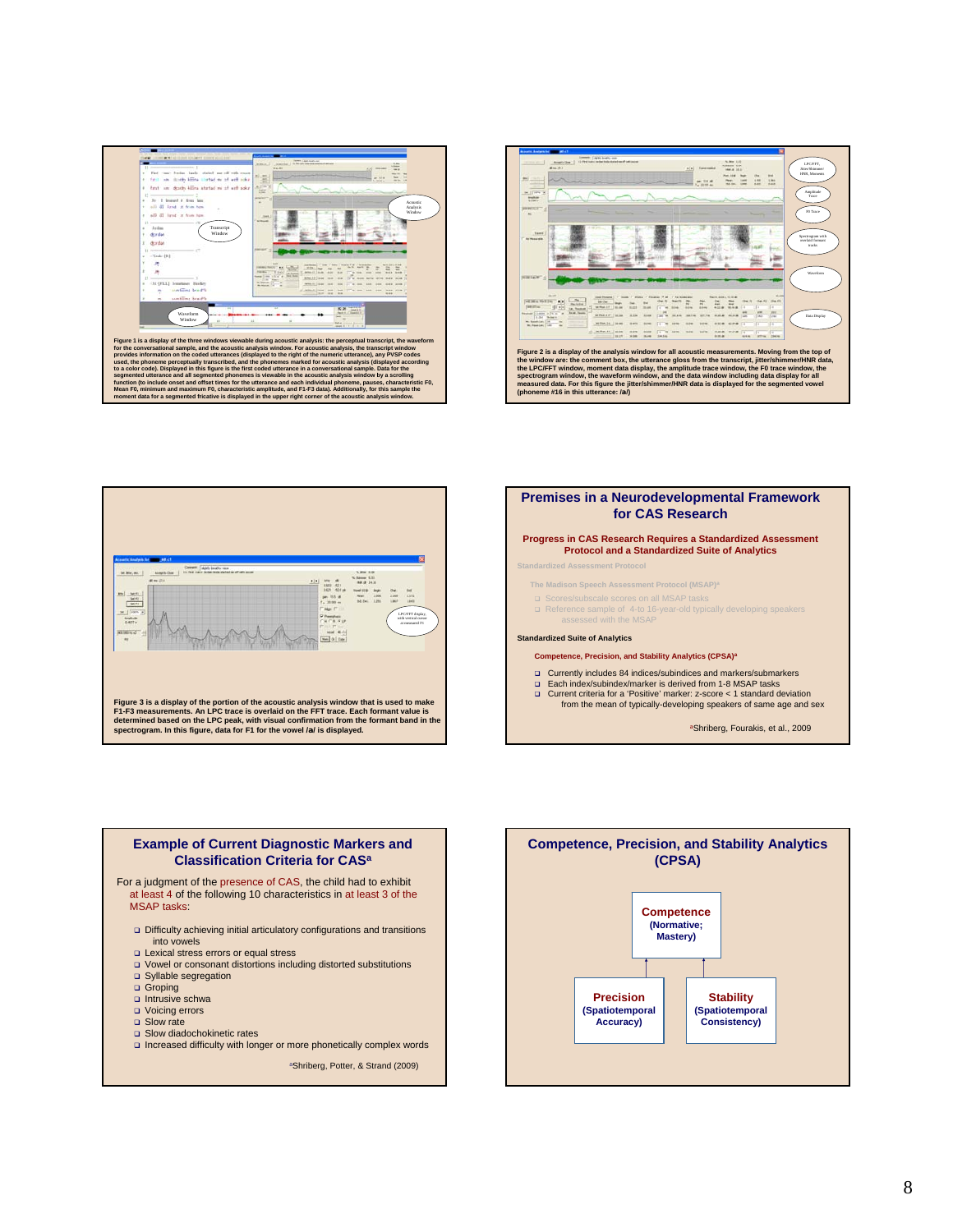









- Syllable segregation
- Groping
- $\Box$  Intrusive schwa
- Voicing errors □ Slow rate
- Slow diadochokinetic rates
- Increased difficulty with longer or more phonetically complex words

aShriberg, Potter, & Strand (2009)

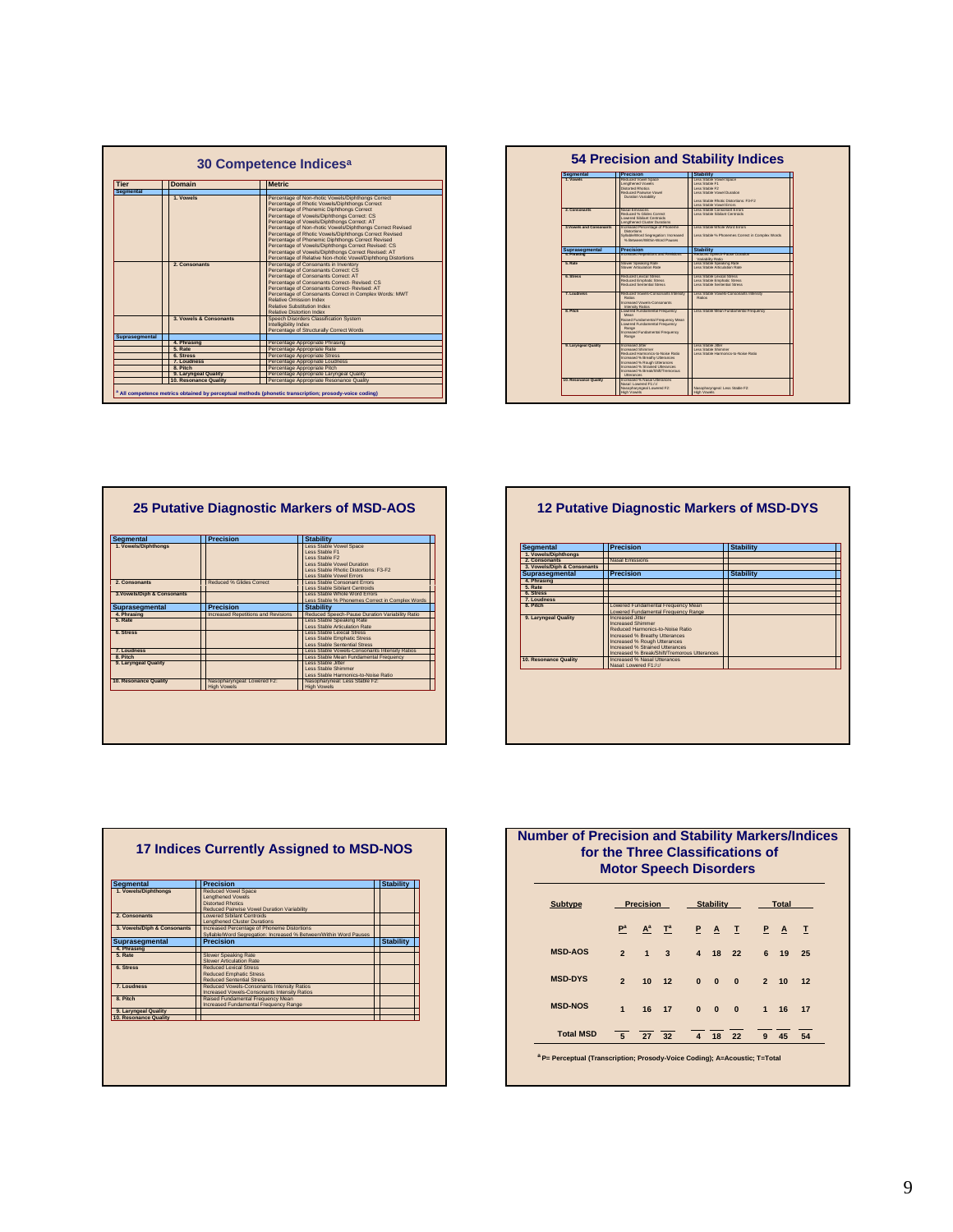| <b>Tier</b>      | Domain                 | <b>Metric</b>                                                                                                                                                                                                                                                                                                                                                                                                                                                                                                                                                                                               |
|------------------|------------------------|-------------------------------------------------------------------------------------------------------------------------------------------------------------------------------------------------------------------------------------------------------------------------------------------------------------------------------------------------------------------------------------------------------------------------------------------------------------------------------------------------------------------------------------------------------------------------------------------------------------|
| <b>Segmental</b> |                        |                                                                                                                                                                                                                                                                                                                                                                                                                                                                                                                                                                                                             |
|                  | 1. Vowels              | Percentage of Non-rhotic Vowels/Diphthongs Correct<br>Percentage of Rhotic Vowels/Diphthongs Correct<br>Percentage of Phonemic Diphthongs Correct<br>Percentage of Vowels/Diphthongs Correct: CS<br>Percentage of Vowels/Diphthongs Correct: AT<br>Percentage of Non-rhotic Vowels/Diphthongs Correct Revised<br>Percentage of Rhotic Vowels/Diphthongs Correct Revised<br>Percentage of Phonemic Diphthongs Correct Revised<br>Percentage of Vowels/Diphthongs Correct Revised: CS<br>Percentage of Vowels/Diphthongs Correct Revised: AT<br>Percentage of Relative Non-rhotic Vowel/Diphthong Distortions |
|                  | 2. Consonants          | Percentage of Consonants in Inventory<br>Percentage of Consonants Correct: CS<br>Percentage of Consonants Correct: AT<br>Percentage of Consonants Correct- Revised: CS<br>Percentage of Consonants Correct-Revised: AT<br>Percentage of Consonants Correct in Complex Words: MWT<br>Relative Omission Index<br>Relative Substitution Index<br>Relative Distortion Index                                                                                                                                                                                                                                     |
|                  | 3. Vowels & Consonants | Speech Disorders Classification System                                                                                                                                                                                                                                                                                                                                                                                                                                                                                                                                                                      |
|                  |                        | Intelligibility Index<br>Percentage of Structurally Correct Words                                                                                                                                                                                                                                                                                                                                                                                                                                                                                                                                           |
| Suprasegmental   |                        |                                                                                                                                                                                                                                                                                                                                                                                                                                                                                                                                                                                                             |
|                  | 4. Phrasing            | Percentage Appropriate Phrasing                                                                                                                                                                                                                                                                                                                                                                                                                                                                                                                                                                             |
|                  | 5. Rate                | Percentage Appropriate Rate                                                                                                                                                                                                                                                                                                                                                                                                                                                                                                                                                                                 |
|                  | 6. Stress              | Percentage Appropriate Stress                                                                                                                                                                                                                                                                                                                                                                                                                                                                                                                                                                               |
|                  | 7. Loudness            | Percentage Appropriate Loudness                                                                                                                                                                                                                                                                                                                                                                                                                                                                                                                                                                             |
|                  | 8. Pitch               | Percentage Appropriate Pitch                                                                                                                                                                                                                                                                                                                                                                                                                                                                                                                                                                                |
|                  | 9. Laryngeal Quality   | Percentage Appropriate Laryngeal Quality                                                                                                                                                                                                                                                                                                                                                                                                                                                                                                                                                                    |
|                  | 10. Resonance Quality  | Percentage Appropriate Resonance Quality                                                                                                                                                                                                                                                                                                                                                                                                                                                                                                                                                                    |

| Segmental               | <b>Precision</b>                                                                                                                                                                                                                               | <b>Stability</b>                                                                                                                                                |
|-------------------------|------------------------------------------------------------------------------------------------------------------------------------------------------------------------------------------------------------------------------------------------|-----------------------------------------------------------------------------------------------------------------------------------------------------------------|
| 1. Vowels               | Reduced Vowel Space<br>Lengthened Vowels<br>Distorted Rhodes<br>Reduced Pairwise Virwell<br>Duration Variability                                                                                                                               | Less Stable Vowel Space<br>Less Stable F1<br>Less Rights F2<br>Loos Realtie Virual Duration<br>Less Stable Rhyde Distrutions: FS-F2<br>Leos Stable Virwel Frmrs |
| 2. Consonants           | Nasal Emissions<br>Reduced % Glides Correct<br>Lowered Sibilant Centroids<br>Lengthened Cluster Durations                                                                                                                                      | Less Stable Consonant Errors<br>oss Rishie Rihilant Controlits                                                                                                  |
| 3 Vowels and Consenants | Increased Percentage of Phoneme<br>Distrusions:<br>Syllable/Word Sepregation: Increased<br>% Retween Within World Parries                                                                                                                      | Leos Stahle Whole Wood Frrom<br>Less Stable % Phonemes Correct in Complex Words                                                                                 |
| Suprasegmental          | Precision                                                                                                                                                                                                                                      | <b>Stability</b>                                                                                                                                                |
| 4. Phrasing             | Increased Recettors and Revisions                                                                                                                                                                                                              | Reduced Speech-Pause Duration<br>Variability Ratin                                                                                                              |
| 5 Rate                  | Slower Speaking Rate<br>Slower Articulation Rate                                                                                                                                                                                               | Less Stable Speaking Rate<br>Less Stable Articulation Rate                                                                                                      |
| 6. Stress               | Reduced Lexical Stress<br>Reduced Emphatic Stress<br>Reduced Sentential Stress                                                                                                                                                                 | Less Stable Lexical Stress<br>Less Stable Emphatic Stress<br>Loss Stable Sentential Stress                                                                      |
| 7 I numbers             | Reduced Vowels-Consonants Intensity<br>Retine<br>Increased Visuals Consonants<br>Intensity Ratics                                                                                                                                              | Less Stable Vowels-Consonants Interoity<br>Roting                                                                                                               |
| 8 Pich                  | Lowered Fundamental Frequency<br>Moon<br>Raised Fundamental Frequency Mean<br>Lowered Fundamental Frequency<br>Range<br>Increased Fundamental Frequency<br>Range                                                                               | Less Stable Mean Fundamental Frequency                                                                                                                          |
| 9. Larynoeal Quality    | Increased Ther<br><b>Increased Shimman</b><br>Reduced Harmonics an Noise Retin<br>Increased % Breathy Utterances<br>Increased % Rough Utterances<br>Increased % Strained Utterances<br>Increased %, Reads/Rhift/Tremontes<br><b>Iltorances</b> | age Realdo Brev<br>Loos Stable Shimmar<br>ago Stable Harmonins.to.Noise Ratio                                                                                   |
| 10. Resonance Quality   | Increased % Nasal Uterances<br>Nasal: Lowered F1:/o/<br>Nasopharynosal Lowered F2:<br><b>High Mounts</b>                                                                                                                                       | Nascoharynosal: Less Stable F2:<br>High Vougle                                                                                                                  |

| <b>Seamental</b>            | <b>Precision</b>                           | <b>Stability</b>                                         |
|-----------------------------|--------------------------------------------|----------------------------------------------------------|
| 1. Vowels/Diphthonas        |                                            | Less Stable Vowel Space                                  |
|                             |                                            | Less Stable F1                                           |
|                             |                                            | Less Stable F2                                           |
|                             |                                            | Less Stable Vowel Duration                               |
|                             |                                            | Less Stable Rhotic Distortions: E3-E2                    |
| 2. Consonants               | Reduced % Glides Correct                   | Less Stable Vowel Errors<br>Less Stable Consonant Errors |
|                             |                                            | Less Stable Sibilant Centroids                           |
| 3. Vowels/Diph & Consonants |                                            | Less Stable Whole Word Errors                            |
|                             |                                            | Less Stable % Phonemes Correct in Complex Words          |
| Suprasegmental              | <b>Precision</b>                           | <b>Stability</b>                                         |
| 4. Phrasing                 | <b>Increased Repetitions and Revisions</b> | Reduced Speech-Pause Duration Variability Ratio          |
| 5. Rate                     |                                            | Less Stable Speaking Rate                                |
|                             |                                            | Less Stable Articulation Rate                            |
| 6. Stress                   |                                            | Less Stable Lexical Stress                               |
|                             |                                            | Less Stable Emphatic Stress                              |
|                             |                                            | Less Stable Sentential Stress                            |
| 7. Loudness                 |                                            | Less Stable Vowels-Consonants Intensity Ratios           |
| 8. Pitch                    |                                            | Less Stable Mean Fundamental Frequency                   |
| 9. Laryngeal Quality        |                                            | Less Stable Jitter<br>Less Stable Shimmer                |
|                             |                                            | Less Stable Harmonics-to-Noise Ratio                     |
|                             |                                            | Nasopharyneal: Less Stable F2:                           |
| 10. Resonance Quality       | Nasopharyngeal: Lowered F2:                |                                                          |

### **12 Putative Diagnostic Markers of MSD-DYS**

| 1. Vowels/Diphthongs        | <b>Precision</b>                                                                                                                                                                                                                      | <b>Stability</b> |  |
|-----------------------------|---------------------------------------------------------------------------------------------------------------------------------------------------------------------------------------------------------------------------------------|------------------|--|
|                             |                                                                                                                                                                                                                                       |                  |  |
| 2. Consonants               | Nasal Emissions                                                                                                                                                                                                                       |                  |  |
| 3. Vowels/Diph & Consonants |                                                                                                                                                                                                                                       |                  |  |
| Suprasegmental              | <b>Precision</b>                                                                                                                                                                                                                      | <b>Stability</b> |  |
| 4. Phrasing                 |                                                                                                                                                                                                                                       |                  |  |
| 5. Rate                     |                                                                                                                                                                                                                                       |                  |  |
| 6. Stress                   |                                                                                                                                                                                                                                       |                  |  |
| 7. Loudness                 |                                                                                                                                                                                                                                       |                  |  |
| 8. Pitch                    | Lowered Fundamental Frequency Mean<br>Lowered Fundamental Frequency Range                                                                                                                                                             |                  |  |
| 9. Laryngeal Quality        | Increased Jitter<br><b>Increased Shimmer</b><br>Reduced Harmonics-to-Noise Ratio<br>Increased % Breathy Utterances<br>Increased % Rough Utterances<br>Increased % Strained Utterances<br>Increased % Break/Shift/Tremorous Utterances |                  |  |
| 10. Resonance Quality       | Increased % Nasal Utterances<br>Nasal: Lowered F1:/o/                                                                                                                                                                                 |                  |  |

| <b>Seamental</b>            | <b>Precision</b>                                                                           | <b>Stability</b> |
|-----------------------------|--------------------------------------------------------------------------------------------|------------------|
| 1. Vowels/Diphthongs        | <b>Reduced Vowel Space</b><br><b>Lenathened Vowels</b>                                     |                  |
|                             | <b>Distorted Rhotics</b>                                                                   |                  |
|                             | Reduced Pairwise Vowel Duration Variability                                                |                  |
| 2. Consonants               | I owered Sibilant Centroids                                                                |                  |
|                             | <b>Lengthened Cluster Durations</b>                                                        |                  |
| 3. Vowels/Diph & Consonants | Increased Percentage of Phoneme Distortions                                                |                  |
|                             | Syllable/Word Segregation: Increased % Between/Within Word Pauses                          |                  |
| Suprasegmental              | <b>Precision</b>                                                                           | <b>Stability</b> |
| 4. Phrasing                 |                                                                                            |                  |
| 5. Rate                     | <b>Slower Speaking Rate</b>                                                                |                  |
|                             | Slower Articulation Rate                                                                   |                  |
| 6. Stress                   | Reduced Lexical Stress                                                                     |                  |
|                             | <b>Reduced Emphatic Stress</b>                                                             |                  |
|                             | <b>Reduced Sentential Stress</b>                                                           |                  |
| 7. Loudness                 | Reduced Vowels-Consonants Intensity Ratios<br>Increased Vowels-Consonants Intensity Ratios |                  |
| 8. Pitch                    | Raised Fundamental Frequency Mean                                                          |                  |
|                             | Increased Fundamental Frequency Range                                                      |                  |
| 9. Laryngeal Quality        |                                                                                            |                  |
| 10. Resonance Quality       |                                                                                            |                  |

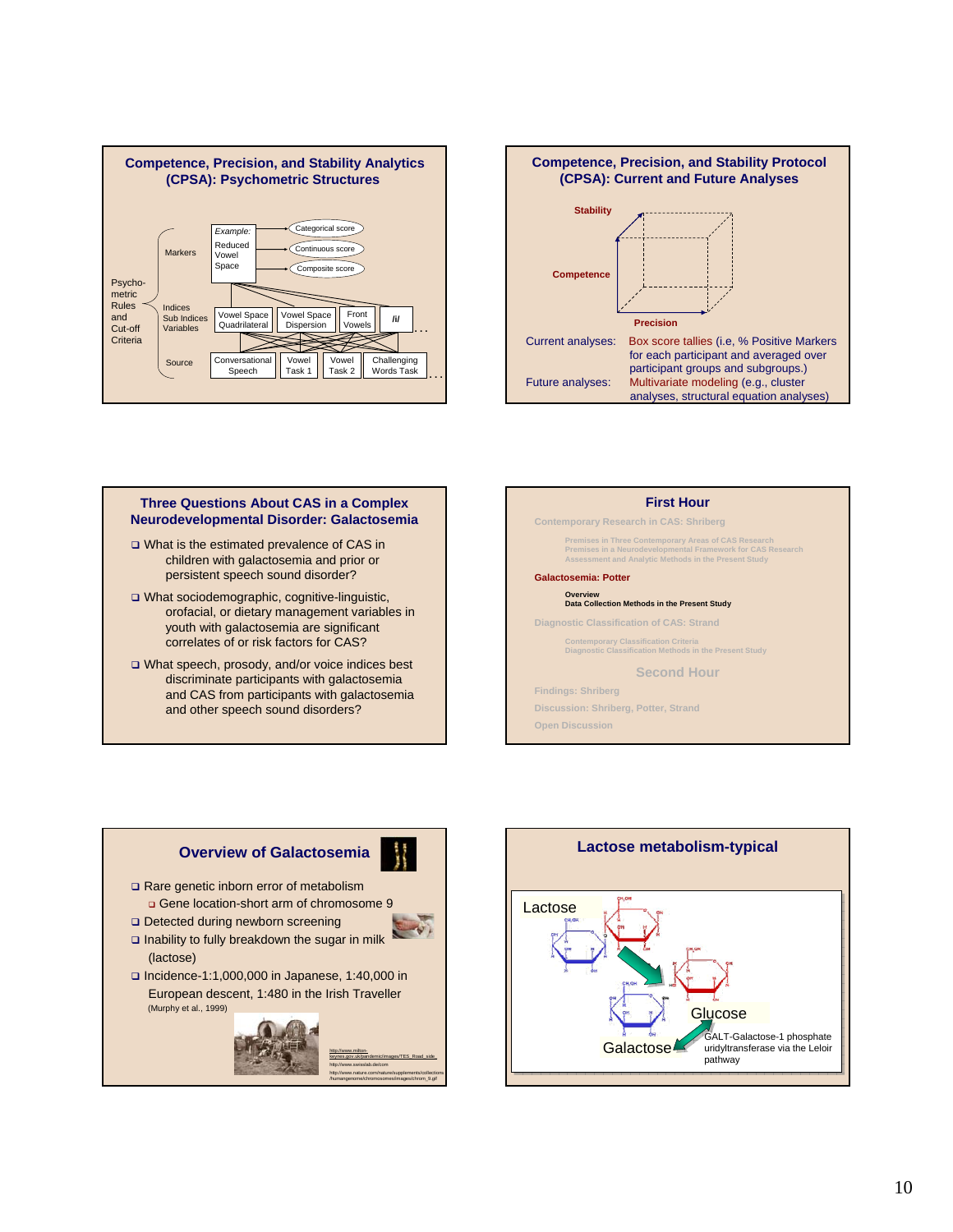



### **Three Questions About CAS in a Complex Neurodevelopmental Disorder: Galactosemia**

- What is the estimated prevalence of CAS in children with galactosemia and prior or persistent speech sound disorder?
- What sociodemographic, cognitive-linguistic, orofacial, or dietary management variables in youth with galactosemia are significant correlates of or risk factors for CAS?
- What speech, prosody, and/or voice indices best discriminate participants with galactosemia and CAS from participants with galactosemia and other speech sound disorders?





http://www.nature.com/nature/supplements/collections /humangenome/chromosomes/images/chrom\_9.gif

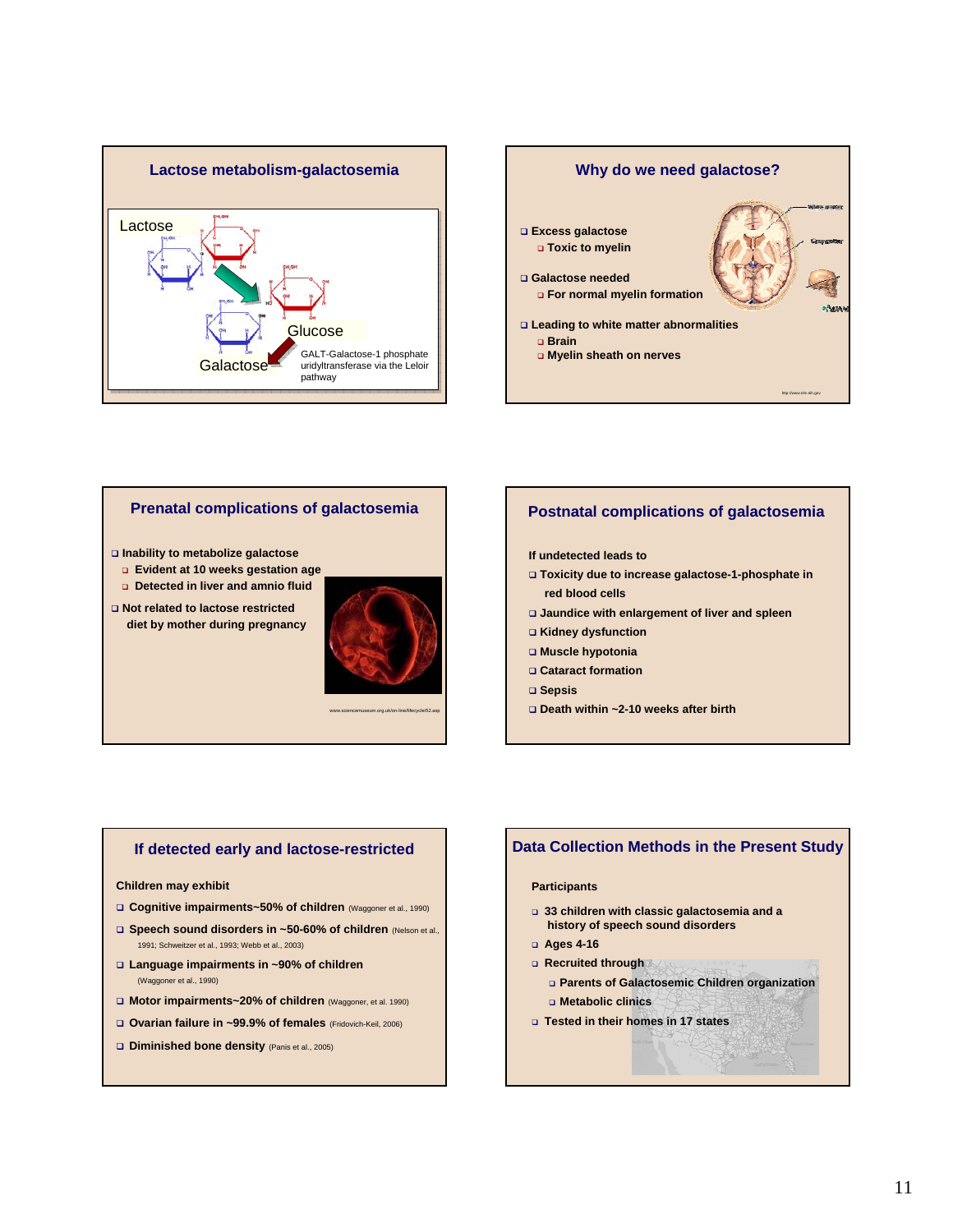



### **Prenatal complications of galactosemia**

#### **Inability to metabolize galactose**

- **Evident at 10 weeks gestation age**
- **Detected in liver and amnio fluid**
- **Not related to lactose restricted diet by mother during pregnancy**



www.sciencemuseum.org.uk/on-line/lifecycle/52.asp

### **Postnatal complications of galactosemia**

### **If undetected leads to**

- **Toxicity due to increase galactose-1-phosphate in red blood cells**
- **Jaundice with enlargement of liver and spleen**
- **Kidney dysfunction**
- **Muscle hypotonia**
- **Cataract formation**
- **Sepsis**
- **Death within ~2-10 weeks after birth**

### **If detected early and lactose-restricted**

#### **Children may exhibit**

- **Cognitive impairments~50% of children** (Waggoner et al., 1990)
- **Q** Speech sound disorders in ~50-60% of children (Nelson et al., 1991; Schweitzer et al., 1993; Webb et al., 2003)
- **Language impairments in ~90% of children** (Waggoner et al., 1990)
- **Motor impairments~20% of children** (Waggoner, et al. 1990)
- **Ovarian failure in ~99.9% of females** (Fridovich-Keil, 2006)
- **Diminished bone density** (Panis et al., 2005)

### **Data Collection Methods in the Present Study**

#### **Participants**

- **33 children with classic galactosemia and a history of speech sound disorders**
- **Ages 4-16**
- **Recruited through** 
	- **Parents of Galactosemic Children organization Metabolic clinics**
- **Tested in their homes in 17 states**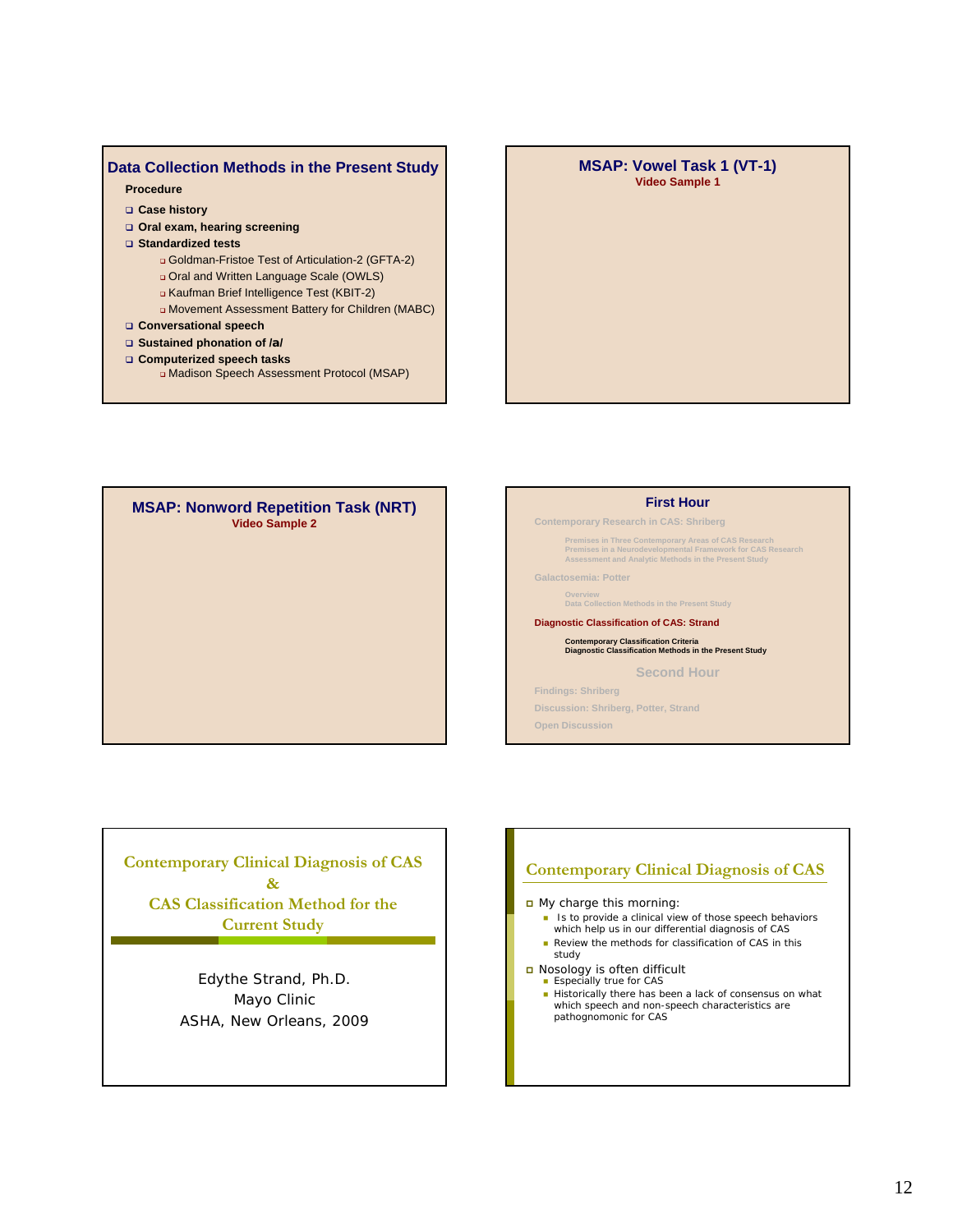### **Data Collection Methods in the Present Study**

### **Procedure**

- **Case history**
- **Oral exam, hearing screening**
- **Standardized tests** 
	- Goldman-Fristoe Test of Articulation-2 (GFTA-2)
	- Oral and Written Language Scale (OWLS)
	- Kaufman Brief Intelligence Test (KBIT-2)
	- Movement Assessment Battery for Children (MABC)
- **Conversational speech**
- **Sustained phonation of /a/**
- **Computerized speech tasks**
	- Madison Speech Assessment Protocol (MSAP)

### **MSAP: Vowel Task 1 (VT-1) Video Sample 1**

**MSAP: Nonword Repetition Task (NRT) Video Sample 2**



**Contemporary Research in CAS: Shriberg**

**Premises in Three Contemporary Areas of CAS Research Premises in a Neurodevelopmental Framework for CAS Research Assessment and Analytic Methods in the Present Study**

**Galactosemia: Potter**

**Overview Data Collection Methods in the Present Study**

**Diagnostic Classification of CAS: Strand**

### **Contemporary Classification Criteria Diagnostic Classification Methods in the Present Study**

**Second Hour**

**Findings: Shriberg Discussion: Shriberg, Potter, Strand**

**Open Discussion**

**Contemporary Clinical Diagnosis of CAS & CAS Classification Method for the Current Study**

> Edythe Strand, Ph.D. Mayo Clinic ASHA, New Orleans, 2009

# **Contemporary Clinical Diagnosis of CAS**

My charge this morning:

- Is to provide a clinical view of those speech behaviors<br>which help us in our differential diagnosis of CAS
- Review the methods for classification of CAS in this
- study
- Nosology is often difficult Especially true for CAS
	-
	- Historically there has been a lack of consensus on what which speech and non-speech characteristics are pathognomonic for CAS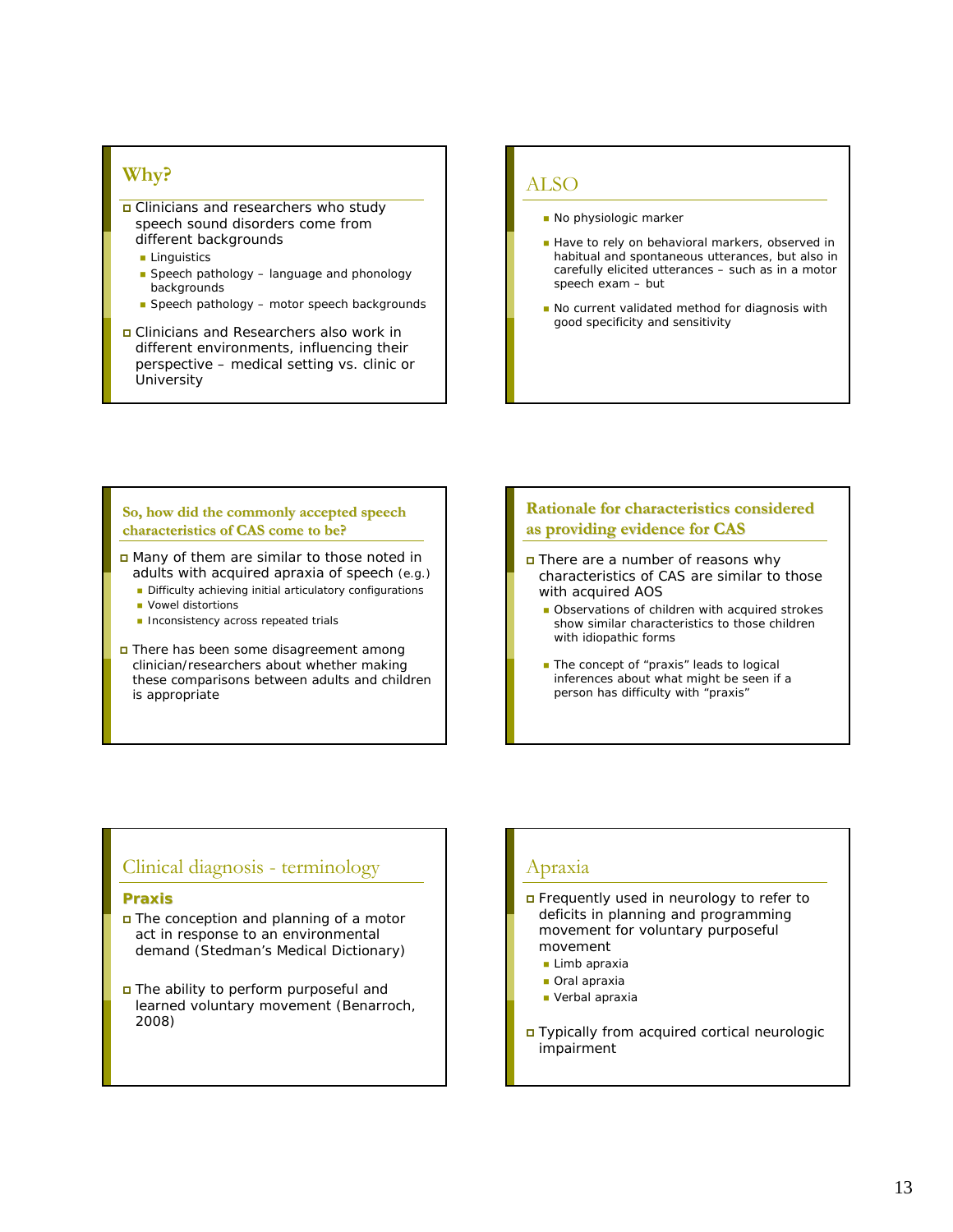### **Why?**

- Clinicians and researchers who study speech sound disorders come from different backgrounds
	- **Linguistics**
	- Speech pathology language and phonology backgrounds
	- Speech pathology motor speech backgrounds
- Clinicians and Researchers also work in different environments, influencing their perspective – medical setting vs. clinic or University

### ALSO

- No physiologic marker
- Have to rely on behavioral markers, observed in habitual and spontaneous utterances, but also in carefully elicited utterances – such as in a motor speech exam – but
- No current validated method for diagnosis with good specificity and sensitivity

### **So, how did the commonly accepted speech commonly accepted speech characteristics of CAS come to be?**

- Many of them are similar to those noted in adults with acquired apraxia of speech (e.g.)
	- Difficulty achieving initial articulatory configurations
	- **Vowel distortions**
	- **Inconsistency across repeated trials**
- There has been some disagreement among clinician/researchers about whether making these comparisons between adults and children is appropriate

### **Rationale for characteristics considered characteristics considered as providing evidence for CAS**

- There are a number of reasons why characteristics of CAS are similar to those with acquired AOS
	- Observations of children with acquired strokes show similar characteristics to those children with idiopathic forms
	- The concept of "praxis" leads to logical inferences about what might be seen if a person has difficulty with "praxis"

### Clinical diagnosis - terminology

### **Praxis**

- The conception and planning of a motor act in response to an environmental demand (Stedman's Medical Dictionary)
- The ability to perform purposeful and learned voluntary movement (Benarroch, 2008)

### Apraxia

- Frequently used in neurology to refer to deficits in planning and programming movement for voluntary purposeful movement
	- **Limb apraxia**
	- **Oral apraxia**
	- Verbal apraxia
- Typically from acquired cortical neurologic impairment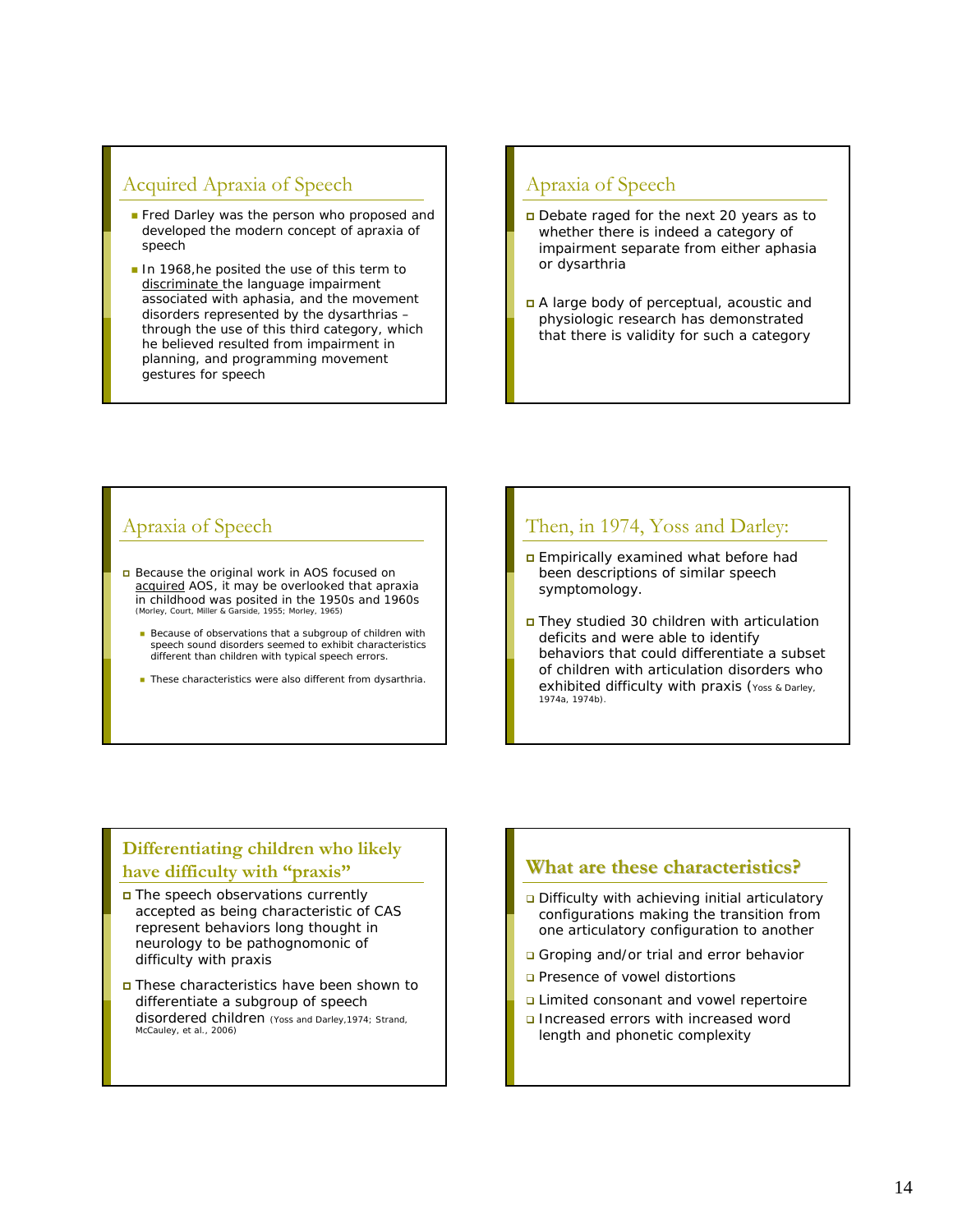### Acquired Apraxia of Speech

- Fred Darley was the person who proposed and developed the modern concept of apraxia of speech
- In 1968, he posited the use of this term to discriminate the language impairment associated with aphasia, and the movement disorders represented by the dysarthrias – through the use of this third category, which he believed resulted from impairment in planning, and programming movement gestures for speech

### Apraxia of Speech

- Debate raged for the next 20 years as to whether there is indeed a category of impairment separate from either aphasia or dysarthria
- A large body of perceptual, acoustic and physiologic research has demonstrated that there is validity for such a category

### Apraxia of Speech

- Because the original work in AOS focused on acquired AOS, it may be overlooked that apraxia in childhood was posited in the 1950s and 1960s (Morley, Court, Miller & Garside, 1955; Morley, 1965)
	- Because of observations that a subgroup of children with speech sound disorders seemed to exhibit characteristics different than children with typical speech errors.
	- These characteristics were also different from dysarthria.

### Then, in 1974, Yoss and Darley:

- **Empirically examined what before had** been descriptions of similar speech symptomology.
- They studied 30 children with articulation deficits and were able to identify behaviors that could differentiate a subset of children with articulation disorders who exhibited difficulty with praxis (Yoss & Darley, 1974a, 1974b).

### **Differentiating children who likely have difficulty with "praxis"**

- The speech observations currently accepted as being characteristic of CAS represent behaviors long thought in neurology to be pathognomonic of difficulty with praxis
- These characteristics have been shown to differentiate a subgroup of speech disordered children (Yoss and Darley,1974; Strand, McCauley, et al., 2006)

### **What are these characteristics?**

- Difficulty with achieving initial articulatory configurations making the transition from one articulatory configuration to another
- Groping and/or trial and error behavior
- **Q** Presence of vowel distortions
- **Q** Limited consonant and vowel repertoire
- Increased errors with increased word length and phonetic complexity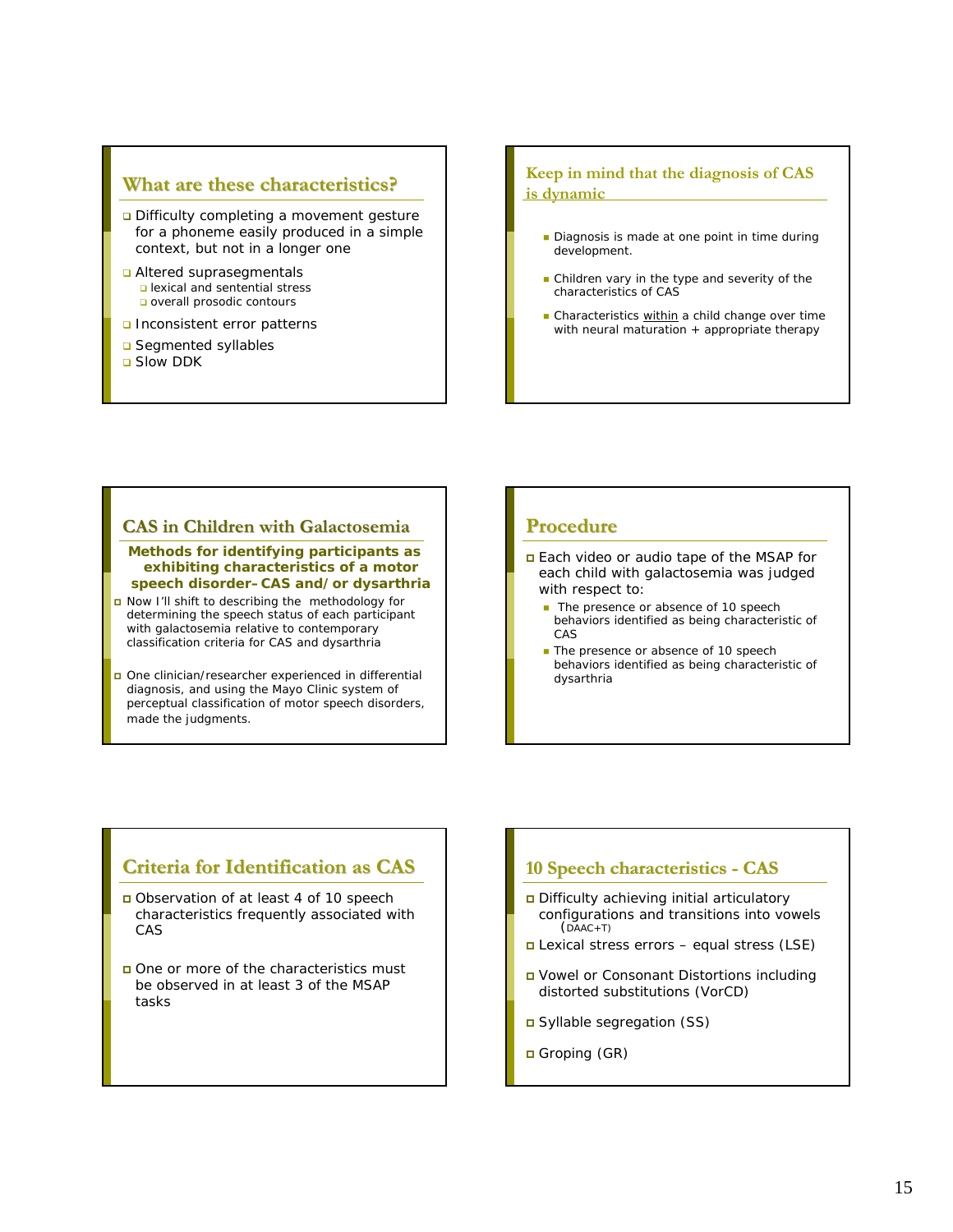### **What are these characteristics? What are these characteristics?**

- Difficulty completing a movement gesture for a phoneme easily produced in a simple context, but not in a longer one
- **Q** Altered suprasegmentals lexical and sentential stress **o** overall prosodic contours
- **Q** Inconsistent error patterns
- **□** Seamented syllables
- **□** Slow DDK

### **Keep in mind that the diagnosis of CAS is dynamic**

- Diagnosis is made at one point in time during development.
- **Children vary in the type and severity of the** characteristics of CAS
- Characteristics within a child change over time with neural maturation + appropriate therapy

### **CAS in Children with Galactosemia CAS in Children with Galactosemia**

**Methods for identifying participants as exhibiting characteristics of a motor speech disorder–CAS and/or dysarthria**

- Now I'll shift to describing the methodology for determining the speech status of each participant with galactosemia relative to contemporary classification criteria for CAS and dysarthria
- One clinician/researcher experienced in differential diagnosis, and using the Mayo Clinic system of perceptual classification of motor speech disorders, made the judgments.

### **Procedure Procedure**

- Each video or audio tape of the MSAP for each child with galactosemia was judged with respect to:
	- The presence or absence of 10 speech behaviors identified as being characteristic of CAS
	- The presence or absence of 10 speech behaviors identified as being characteristic of dysarthria

### **Criteria for Identification as CAS Criteria for Identification as CAS**

- Observation of at least 4 of 10 speech characteristics frequently associated with CAS
- one or more of the characteristics must be observed in at least 3 of the MSAP tasks

### 10 Speech characteristics - CAS

- Difficulty achieving initial articulatory configurations and transitions into vowels ( $DAAC+T$ )
- Lexical stress errors equal stress (LSE)
- Vowel or Consonant Distortions including distorted substitutions (VorCD)
- Syllable segregation (SS)
- Groping (GR)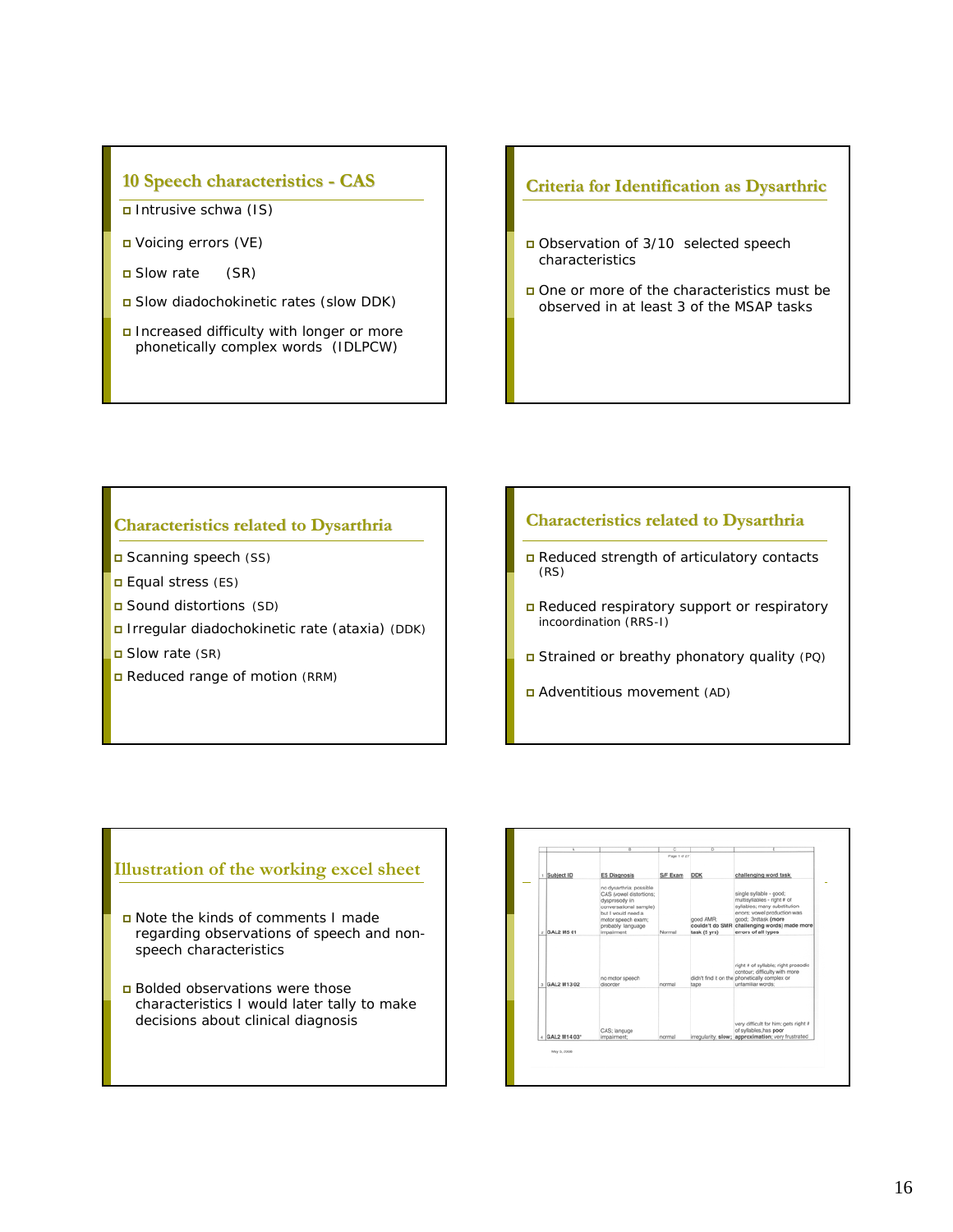### **10 Speech characteristics 10 Speech characteristics - CAS**

- Intrusive schwa (IS)
- Voicing errors (VE)
- Slow rate (SR)
- Slow diadochokinetic rates (slow DDK)
- Increased difficulty with longer or more phonetically complex words (IDLPCW)

### **Criteria for Identification as Dysarthric Criteria for Identification as Dysarthric**

- Observation of 3/10 selected speech characteristics
- One or more of the characteristics must be observed in at least 3 of the MSAP tasks

### **Characteristics related to Dysarthria Characteristics related to Dysarthria**

- □ Scanning speech (SS)
- **Equal stress (ES)**
- Sound distortions (SD)
- Irregular diadochokinetic rate (ataxia) (DDK)
- Slow rate (SR)
- Reduced range of motion (RRM)

### **Characteristics related to Dysarthria to Dysarthria**

- Reduced strength of articulatory contacts (RS)
- Reduced respiratory support or respiratory incoordination (RRS-I)
- Strained or breathy phonatory quality (PQ)
- Adventitious movement (AD)

### **Illustration of the working excel sheet**

- Note the kinds of comments I made regarding observations of speech and nonspeech characteristics
- Bolded observations were those characteristics I would later tally to make decisions about clinical diagnosis

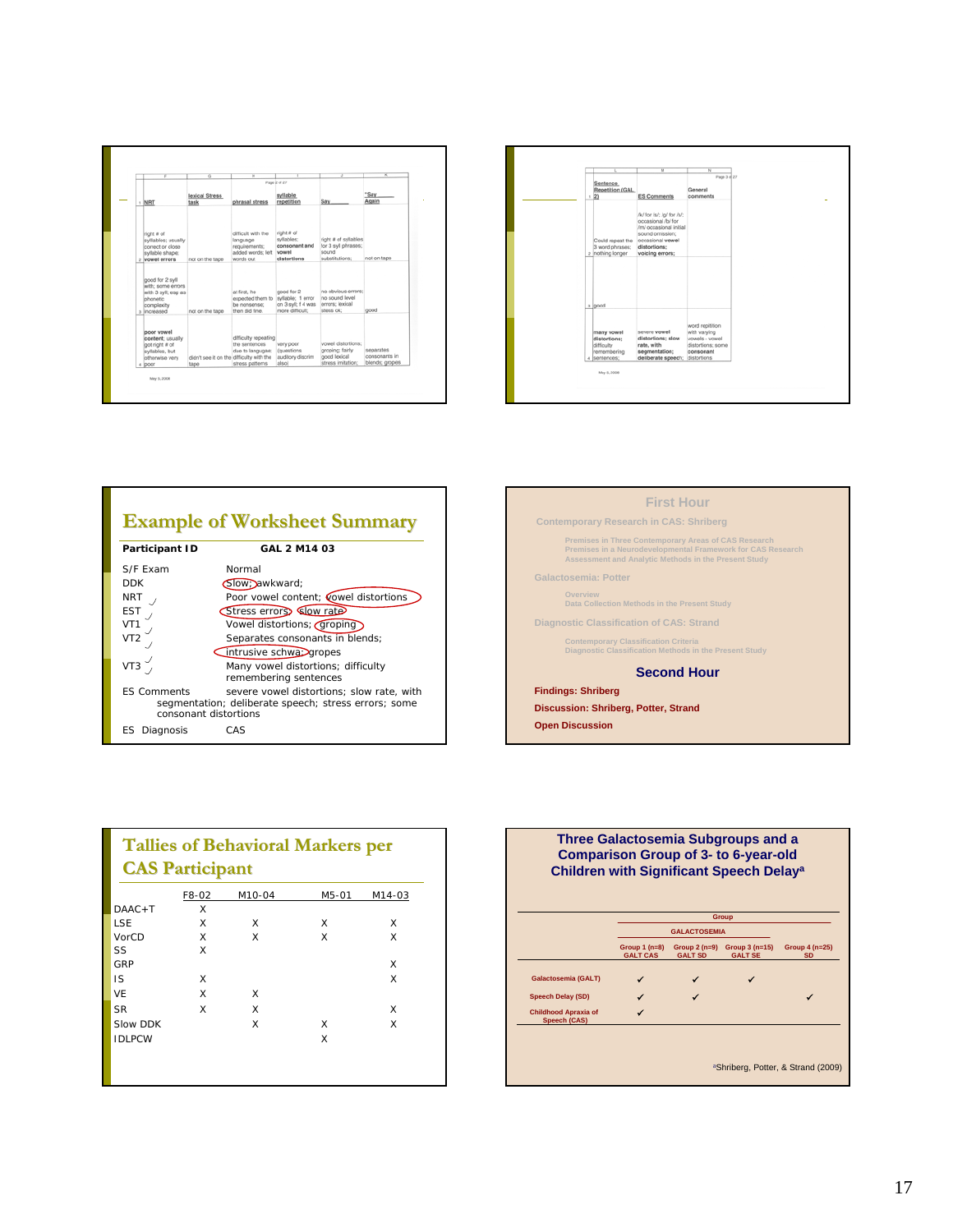|                                                                                                       | ढ                                                | π                                                                                 | Page 2 of 27                                                             |                                                                            | x                                            |
|-------------------------------------------------------------------------------------------------------|--------------------------------------------------|-----------------------------------------------------------------------------------|--------------------------------------------------------------------------|----------------------------------------------------------------------------|----------------------------------------------|
| NRT                                                                                                   | lexical Stress<br>task                           | phrasal stress                                                                    | syllable<br>repetition                                                   | Say                                                                        | "Say<br>Again                                |
| right # of<br>sylliables; usually<br>correct or close<br>syllable shape;<br>: vowel errors            | not on the tape                                  | difficult with the<br>language<br>requirements:<br>added words; left<br>words out | right # of<br>syllables:<br>consonant and<br>vowel<br>distortions        | right # of syllables<br>for 3 svll phrases;<br>sound<br>substitutions:     | not on tape                                  |
| good for 2 syll<br>with: some errors<br>with 3 svil; esp as<br>phonetic<br>complexity<br>a lincreased | not on the tape                                  | at first, he<br>expected them to<br>be nonsense;<br>than did fine.                | good for 2<br>syllable; 1 error<br>on 3 syll; f 4 was<br>more difficult; | no obvious errors;<br>he sound level<br>errors: lexical<br>stess ok:       | good                                         |
| poor yowel<br>content; usually<br>got right # of<br>syllables, but<br>otherwise very<br>4 DOOF        | didn't see it on the difficulty with the<br>tape | difficulty repeating<br>the sentences<br>due to langugae;<br>stress patterns      | very poor<br>(questions)<br>auditory discrim<br>also)                    | yowel distortions:<br>groping; fairly<br>good lexical<br>stress imitation: | separates<br>consonants in<br>blends; gropes |

| Sentence<br>Repetition (GAL<br>1/21                                     | $\overline{M}$<br><b>ES Comments</b>                                                                                                                | π<br>Page 3 of 27<br>General<br>comments                                                           |  |
|-------------------------------------------------------------------------|-----------------------------------------------------------------------------------------------------------------------------------------------------|----------------------------------------------------------------------------------------------------|--|
| Could repeat the<br>3 word phrases:<br>2 nothing longer                 | /k/ for /s/; /g/ for /s/;<br>occasional /b/ for<br>/m/ occasional initial<br>sound omission;<br>occasional vowel<br>distortions:<br>voicing errors; |                                                                                                    |  |
| 3 good                                                                  |                                                                                                                                                     |                                                                                                    |  |
| many vowel<br>distortions;<br>difficulty<br>remembering<br>4 sentences; | severe vowel<br>distortions; slow<br>rate, with<br>segmentation;<br>deliberate speech;                                                              | word repitition<br>with varying<br>vowels - vowel<br>distortions; some<br>consonant<br>distortions |  |

## **Example of Worksheet Summary Example of Worksheet Summary**

| Participant ID        | GAL 2 M14 03                                         |
|-----------------------|------------------------------------------------------|
| S/F Fxam              | Normal                                               |
| <b>DDK</b>            | Slow; awkward;                                       |
| <b>NRT</b>            | Poor vowel content; cowel distortions                |
| EST                   | Stress errors Slow rate                              |
| VT1                   | Vowel distortions; <i>Groping</i>                    |
| VT2                   | Separates consonants in blends;                      |
|                       | intrusive schwa> gropes                              |
| VT <sub>3</sub>       | Many vowel distortions; difficulty                   |
|                       | remembering sentences                                |
| <b>FS Comments</b>    | severe yowel distortions: slow rate, with            |
| consonant distortions | segmentation; deliberate speech; stress errors; some |
|                       |                                                      |
| Diagnosis<br>ES       | CAS                                                  |

| <b>First Hour</b>                                                                                                                                                                  |
|------------------------------------------------------------------------------------------------------------------------------------------------------------------------------------|
| <b>Contemporary Research in CAS: Shriberg</b>                                                                                                                                      |
| <b>Premises in Three Contemporary Areas of CAS Research</b><br>Premises in a Neurodevelopmental Framework for CAS Research<br>Assessment and Analytic Methods in the Present Study |
| <b>Galactosemia: Potter</b>                                                                                                                                                        |
| Overview<br>Data Collection Methods in the Present Study                                                                                                                           |
| Diagnostic Classification of CAS: Strand                                                                                                                                           |
| <b>Contemporary Classification Criteria</b><br>Diagnostic Classification Methods in the Present Study                                                                              |
| <b>Second Hour</b>                                                                                                                                                                 |
| <b>Findings: Shriberg</b>                                                                                                                                                          |
| Discussion: Shriberg, Potter, Strand                                                                                                                                               |
| <b>Open Discussion</b>                                                                                                                                                             |
|                                                                                                                                                                                    |
|                                                                                                                                                                                    |

| <b>Tallies of Behavioral Markers per</b><br><b>CAS Participant</b> |   |   |   |   |  |  |
|--------------------------------------------------------------------|---|---|---|---|--|--|
|                                                                    |   |   |   |   |  |  |
| $DAAC + T$                                                         | X |   |   |   |  |  |
| <b>LSE</b>                                                         | X | X | X | X |  |  |
| VorCD                                                              | X | X | X | X |  |  |
| SS                                                                 | X |   |   |   |  |  |
| GRP                                                                |   |   |   | X |  |  |
| IS                                                                 | X |   |   | X |  |  |
| VF                                                                 | X | X |   |   |  |  |
| <b>SR</b>                                                          | X | X |   | X |  |  |
| Slow DDK                                                           |   | X | X | X |  |  |
| <b>IDLPCW</b>                                                      |   |   | X |   |  |  |

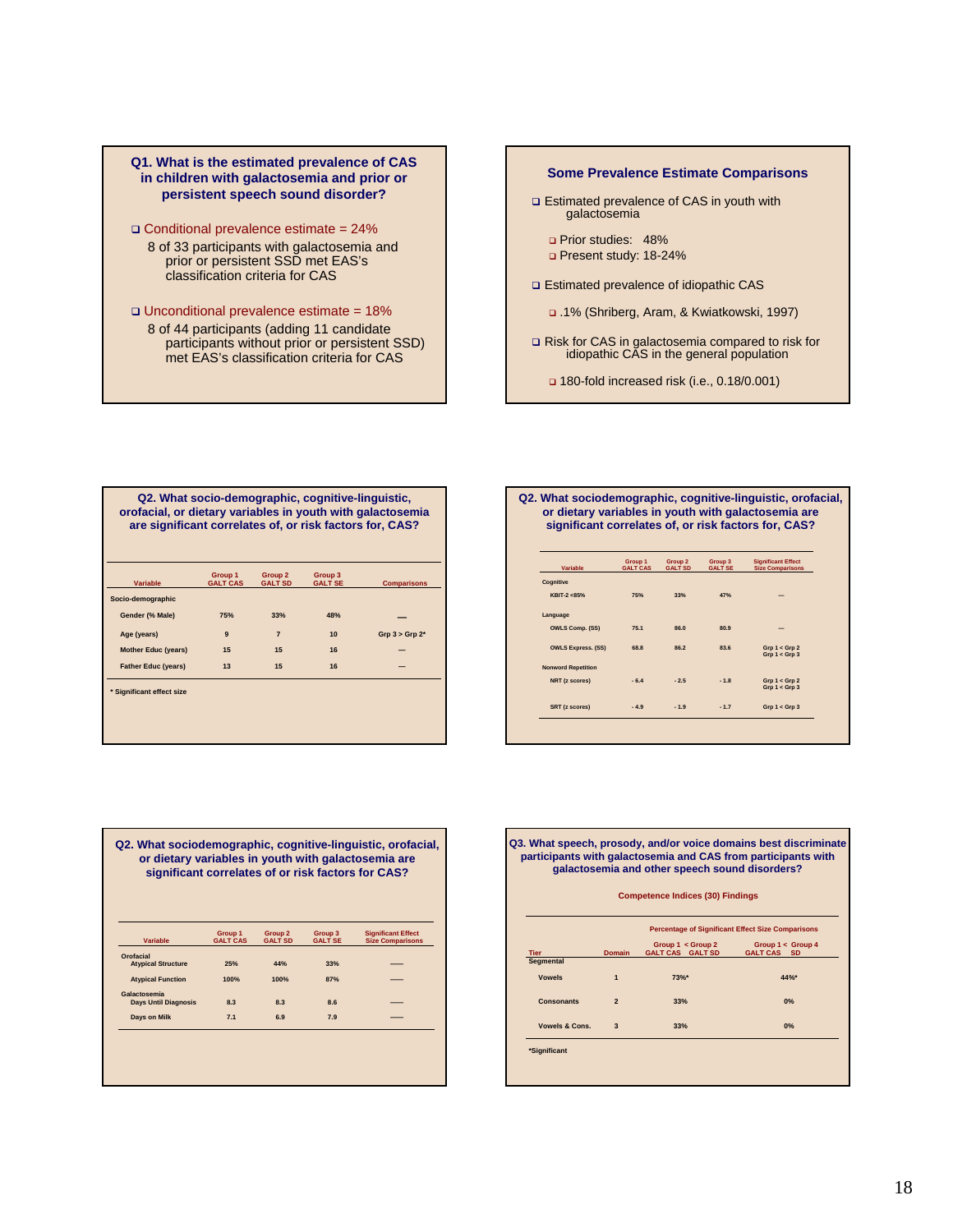### **Q1. What is the estimated prevalence of CAS in children with galactosemia and prior or persistent speech sound disorder?**

- Conditional prevalence estimate = 24% 8 of 33 participants with galactosemia and prior or persistent SSD met EAS's classification criteria for CAS
- Unconditional prevalence estimate = 18% 8 of 44 participants (adding 11 candidate participants without prior or persistent SSD) met EAS's classification criteria for CAS

## **Some Prevalence Estimate Comparisons** □ Estimated prevalence of CAS in youth with galactosemia □ Prior studies: 48% Present study: 18-24% Estimated prevalence of idiopathic CAS .1% (Shriberg, Aram, & Kwiatkowski, 1997) Risk for CAS in galactosemia compared to risk for idiopathic CAS in the general population 180-fold increased risk (i.e., 0.18/0.001)

| Q2. What socio-demographic, cognitive-linguistic,<br>orofacial, or dietary variables in youth with galactosemia<br>are significant correlates of, or risk factors for, CAS? |                 |                    |                |                    |  |  |
|-----------------------------------------------------------------------------------------------------------------------------------------------------------------------------|-----------------|--------------------|----------------|--------------------|--|--|
|                                                                                                                                                                             | Group 1         | Group <sub>2</sub> | Group 3        |                    |  |  |
| <b>Variable</b>                                                                                                                                                             | <b>GALT CAS</b> | <b>GALT SD</b>     | <b>GALT SE</b> | <b>Comparisons</b> |  |  |
| Socio-demographic                                                                                                                                                           |                 |                    |                |                    |  |  |
| Gender (% Male)                                                                                                                                                             | 75%             | 33%                | 48%            |                    |  |  |
| Age (years)                                                                                                                                                                 | $\mathbf{9}$    | $\overline{7}$     | 10             | $Grp 3 > Grp 2*$   |  |  |
| <b>Mother Educ (years)</b>                                                                                                                                                  | 15              | 15                 | 16             |                    |  |  |
| <b>Father Educ (years)</b>                                                                                                                                                  | 13              | 15                 | 16             |                    |  |  |
| * Significant effect size                                                                                                                                                   |                 |                    |                |                    |  |  |

| Q2. What sociodemographic, cognitive-linguistic, orofacial, |
|-------------------------------------------------------------|
| or dietary variables in youth with galactosemia are         |
| significant correlates of, or risk factors for, CAS?        |

| Variable                  | Group 1<br><b>GALT CAS</b> | Group 2<br><b>GALT SD</b> | Group 3<br><b>GALT SE</b> | <b>Significant Effect</b><br><b>Size Comparisons</b> |
|---------------------------|----------------------------|---------------------------|---------------------------|------------------------------------------------------|
| Cognitive                 |                            |                           |                           |                                                      |
| KBIT-2 <85%               | 75%                        | 33%                       | 47%                       |                                                      |
| Language                  |                            |                           |                           |                                                      |
| <b>OWLS Comp. (SS)</b>    | 75.1                       | 86.0                      | 80.9                      |                                                      |
| <b>OWLS Express. (SS)</b> | 68.8                       | 86.2                      | 83.6                      | Grp 1 < Grp 2<br>Grp 1 < Grp 3                       |
| <b>Nonword Repetition</b> |                            |                           |                           |                                                      |
| NRT (z scores)            | $-6.4$                     | $-2.5$                    | $-1.8$                    | Grp 1 < Grp 2<br>Grp 1 < Grp 3                       |
| SRT (z scores)            | $-4.9$                     | $-1.9$                    | $-1.7$                    | Grp 1 < Grp 3                                        |

|                             | Group 1         | Group <sub>2</sub> | Group 3        | <b>Significant Effect</b> |
|-----------------------------|-----------------|--------------------|----------------|---------------------------|
| Variable                    | <b>GALT CAS</b> | <b>GALT SD</b>     | <b>GALT SE</b> | <b>Size Comparisons</b>   |
| Orofacial                   |                 |                    |                |                           |
| <b>Atypical Structure</b>   | 25%             | 44%                | 33%            |                           |
| <b>Atypical Function</b>    | 100%            | 100%               | 87%            |                           |
| Galactosemia                |                 |                    |                |                           |
| <b>Days Until Diagnosis</b> | 8.3             | 8.3                | 8.6            |                           |
| Days on Milk                | 7.1             | 6.9                | 7.9            |                           |

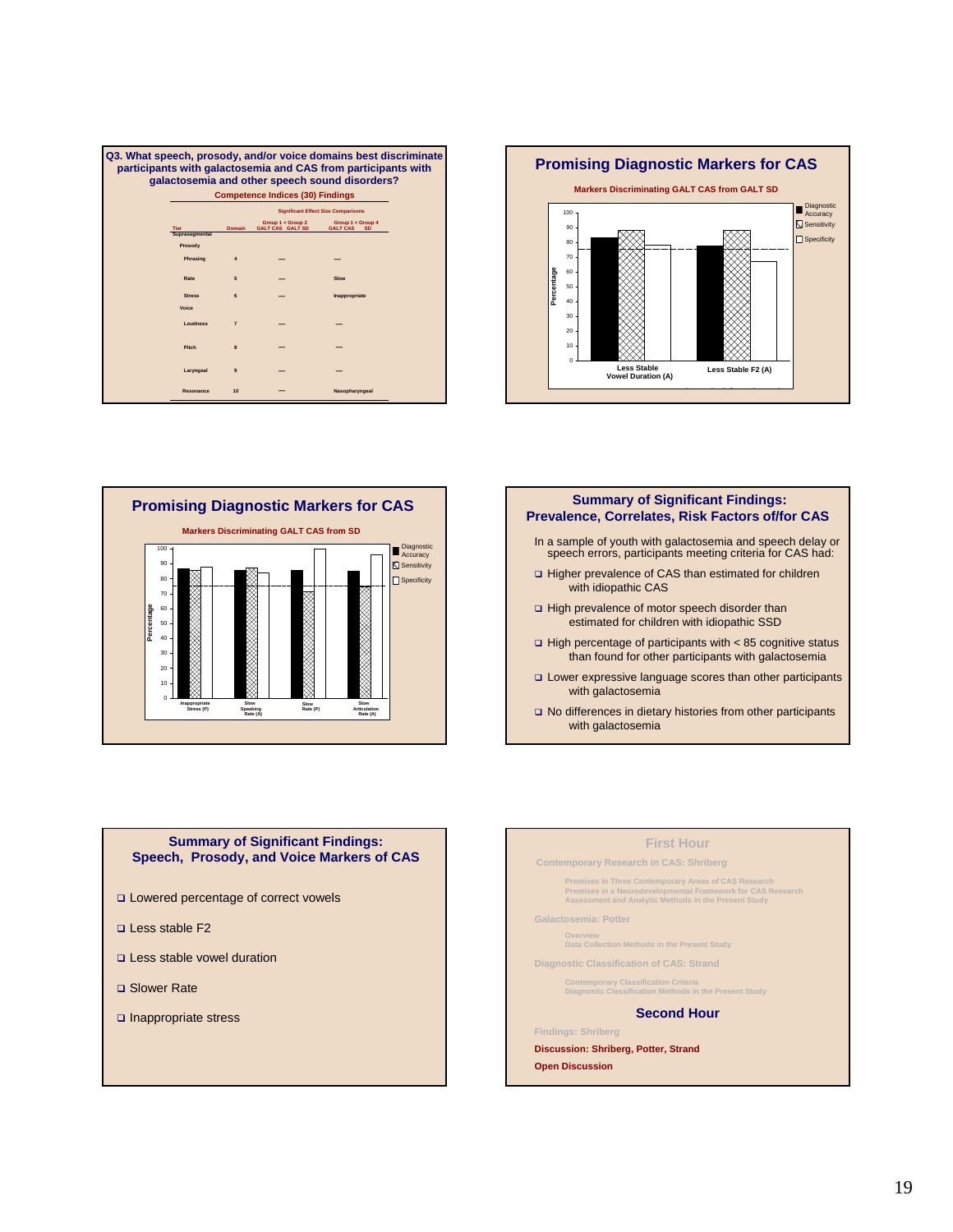| Q3. What speech, prosody, and/or voice domains best discriminate<br>participants with galactosemia and CAS from participants with<br>galactosemia and other speech sound disorders? |                                         |                                            |                                              |                                  |  |  |  |  |
|-------------------------------------------------------------------------------------------------------------------------------------------------------------------------------------|-----------------------------------------|--------------------------------------------|----------------------------------------------|----------------------------------|--|--|--|--|
|                                                                                                                                                                                     | <b>Competence Indices (30) Findings</b> |                                            |                                              |                                  |  |  |  |  |
|                                                                                                                                                                                     |                                         | <b>Significant Effect Size Comparisons</b> |                                              |                                  |  |  |  |  |
| Tier                                                                                                                                                                                |                                         | <b>Domain</b>                              | Group 1 < Group 2<br><b>GALT CAS GALT SD</b> | Group 1 < Group 4<br>GALT CAS SD |  |  |  |  |
|                                                                                                                                                                                     | Suprasegmental                          |                                            |                                              |                                  |  |  |  |  |
|                                                                                                                                                                                     | Prosody                                 |                                            |                                              |                                  |  |  |  |  |
|                                                                                                                                                                                     | Phrasing                                |                                            |                                              |                                  |  |  |  |  |
|                                                                                                                                                                                     | Rate                                    | 5                                          |                                              | Slow                             |  |  |  |  |
|                                                                                                                                                                                     | <b>Stress</b>                           | 6                                          |                                              | Inappropriate                    |  |  |  |  |
|                                                                                                                                                                                     | Voice                                   |                                            |                                              |                                  |  |  |  |  |
|                                                                                                                                                                                     | Loudness                                | $\overline{7}$                             |                                              |                                  |  |  |  |  |
|                                                                                                                                                                                     | Pitch                                   | $\mathbf{a}$                               |                                              |                                  |  |  |  |  |
|                                                                                                                                                                                     | Laryngeal                               | $\mathbf{a}$                               |                                              |                                  |  |  |  |  |
|                                                                                                                                                                                     | Resonance                               | 10                                         |                                              | Nasopharyngeal                   |  |  |  |  |







- speech errors, participants meeting criteria for CAS had: □ Higher prevalence of CAS than estimated for children with idiopathic CAS
- □ High prevalence of motor speech disorder than estimated for children with idiopathic SSD
- $\Box$  High percentage of participants with < 85 cognitive status than found for other participants with galactosemia
- Lower expressive language scores than other participants with galactosemia
- □ No differences in dietary histories from other participants with galactosemia

### **Summary of Significant Findings: Speech, Prosody, and Voice Markers of CAS**

- □ Lowered percentage of correct vowels
- □ Less stable F2
- Less stable vowel duration
- □ Slower Rate
- nappropriate stress

### **First Hour**

**Contemporary Research in CAS: Shriberg**

```
Premises in Three Contemporary Areas of CAS Research 
Premises in a Neurodevelopmental Framework for CAS Research 
Assessment and Analytic Methods in the Present Study
```
**Galactosemia: Potter**

**Overview Data Collection Methods in the Present Study**

**Diagnostic Classification of CAS: Strand**

**Contemporary Classification Criteria Diagnostic Classification Methods in the Present Study**

### **Second Hour**

#### **Findings: Shriberg**

**Discussion: Shriberg, Potter, Strand**

**Open Discussion**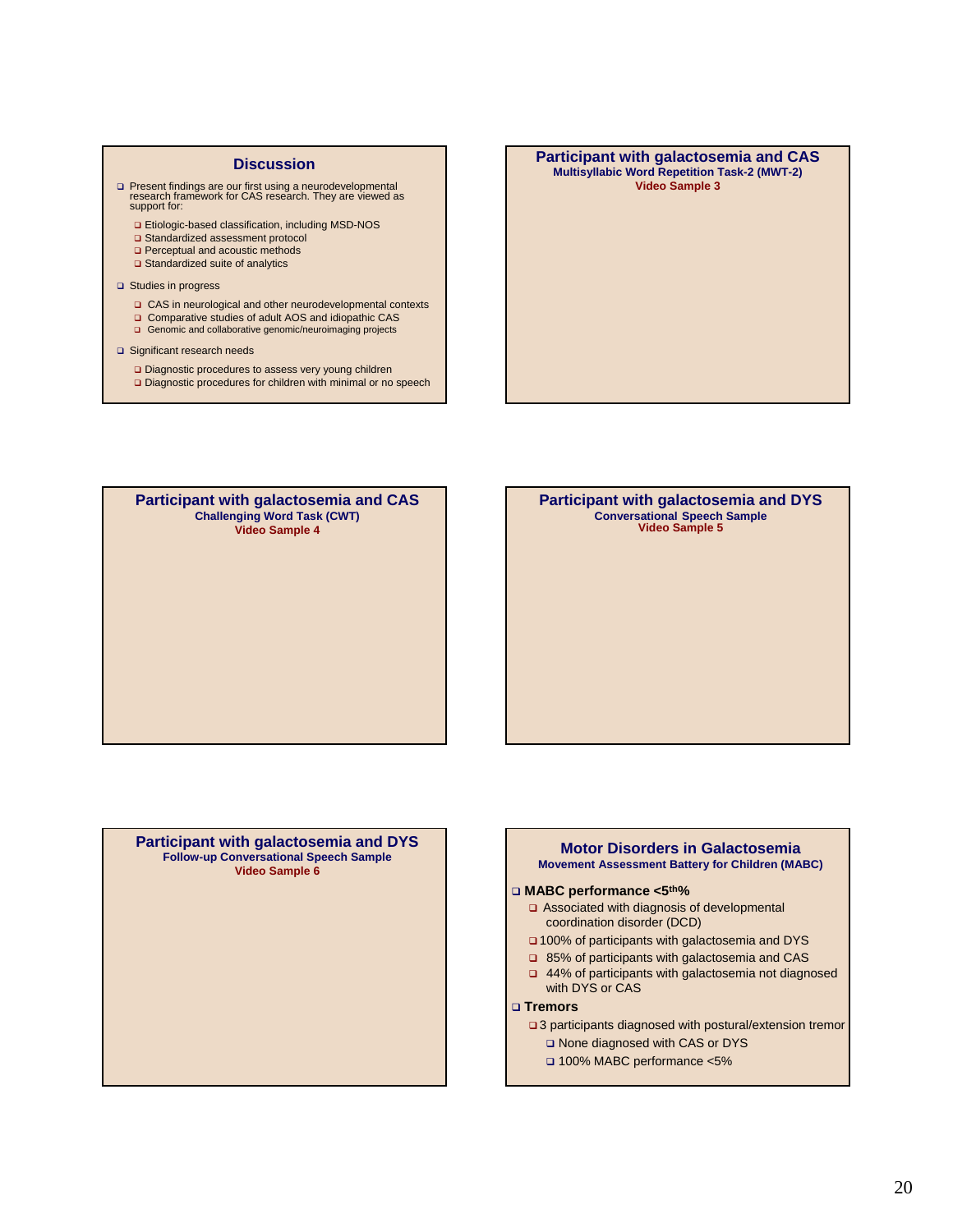#### **Discussion**

- Present findings are our first using a neurodevelopmental research framework for CAS research. They are viewed as support for:
	- Etiologic-based classification, including MSD-NOS
	- Standardized assessment protocol
	- **Q** Perceptual and acoustic methods □ Standardized suite of analytics
	-
- □ Studies in progress
	- CAS in neurological and other neurodevelopmental contexts
	- □ Comparative studies of adult AOS and idiopathic CAS
	- Genomic and collaborative genomic/neuroimaging projects
- □ Significant research needs
	- Diagnostic procedures to assess very young children Diagnostic procedures for children with minimal or no speech

#### **Participant with galactosemia and CAS Multisyllabic Word Repetition Task-2 (MWT-2) Video Sample 3**

**Participant with galactosemia and CAS Challenging Word Task (CWT) Video Sample 4**

**Participant with galactosemia and DYS Conversational Speech Sample Video Sample 5**

**Participant with galactosemia and DYS Follow-up Conversational Speech Sample Video Sample 6**

### **Motor Disorders in Galactosemia Movement Assessment Battery for Children (MABC)**

### **MABC performance <5th%**

- □ Associated with diagnosis of developmental coordination disorder (DCD)
- □ 100% of participants with galactosemia and DYS
- 85% of participants with galactosemia and CAS
- 44% of participants with galactosemia not diagnosed with DYS or CAS

### **Tremors**

- □ 3 participants diagnosed with postural/extension tremor □ None diagnosed with CAS or DYS
	- 100% MABC performance <5%